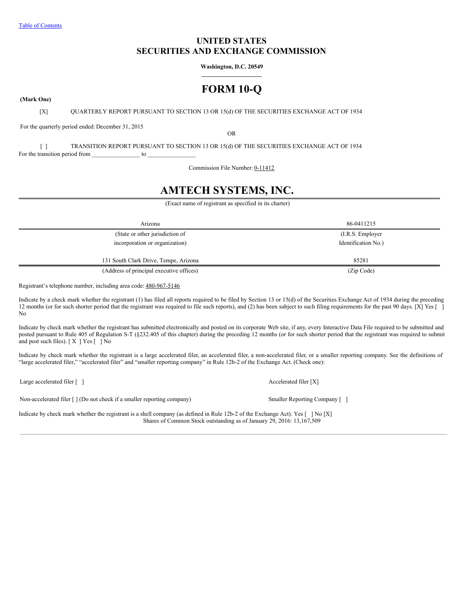# **UNITED STATES SECURITIES AND EXCHANGE COMMISSION**

**Washington, D.C. 20549 \_\_\_\_\_\_\_\_\_\_\_\_\_\_\_\_\_\_\_\_**

# **FORM 10-Q**

## **(Mark One)**

[X] QUARTERLY REPORT PURSUANT TO SECTION 13 OR 15(d) OF THE SECURITIES EXCHANGE ACT OF 1934

For the quarterly period ended: December 31, 2015

OR

[ ] TRANSITION REPORT PURSUANT TO SECTION 13 OR 15(d) OF THE SECURITIES EXCHANGE ACT OF 1934 For the transition period from to to

Commission File Number: 0-11412

# **AMTECH SYSTEMS, INC.**

(Exact name of registrant as specified in its charter)

| Arizona                                  | 86-0411215          |
|------------------------------------------|---------------------|
| (State or other jurisdiction of          | (I.R.S. Employer)   |
| incorporation or organization)           | Identification No.) |
| 131 South Clark Drive, Tempe, Arizona    | 85281               |
| (Address of principal executive offices) | (Zip Code)          |

Registrant's telephone number, including area code: 480-967-5146

Indicate by a check mark whether the registrant (1) has filed all reports required to be filed by Section 13 or 15(d) of the Securities Exchange Act of 1934 during the preceding 12 months (or for such shorter period that the registrant was required to file such reports), and (2) has been subject to such filing requirements for the past 90 days. [X] Yes [  $\overrightarrow{)}$  $N<sub>0</sub>$ 

Indicate by check mark whether the registrant has submitted electronically and posted on its corporate Web site, if any, every Interactive Data File required to be submitted and posted pursuant to Rule 405 of Regulation S-T (§232.405 of this chapter) during the preceding 12 months (or for such shorter period that the registrant was required to submit and post such files).  $[X]$   $Yes$   $]$   $No$ 

Indicate by check mark whether the registrant is a large accelerated filer, an accelerated filer, a non-accelerated filer, or a smaller reporting company. See the definitions of "large accelerated filer," "accelerated filer" and "smaller reporting company" in Rule 12b-2 of the Exchange Act. (Check one):

Large accelerated filer [ ] Accelerated filer [X] Accelerated filer [X]

Non-accelerated filer [ ] (Do not check if a smaller reporting company) Smaller Reporting Company [ ]

Indicate by check mark whether the registrant is a shell company (as defined in Rule 12b-2 of the Exchange Act). Yes [ ] No [X] Shares of Common Stock outstanding as of January 29, 2016: 13,167,509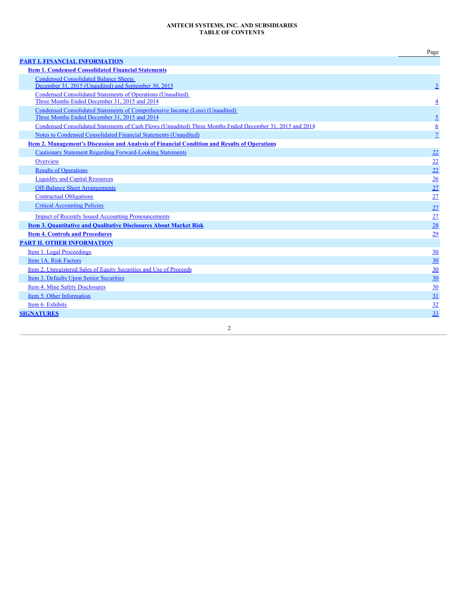#### **AMTECH SYSTEMS, INC. AND SUBSIDIARIES TABLE OF CONTENTS**

<span id="page-1-0"></span>

|                                                                                                              | Page            |
|--------------------------------------------------------------------------------------------------------------|-----------------|
| <b>PART I. FINANCIAL INFORMATION</b>                                                                         |                 |
| <b>Item 1. Condensed Consolidated Financial Statements</b>                                                   |                 |
| <b>Condensed Consolidated Balance Sheets</b>                                                                 |                 |
| December 31, 2015 (Unaudited) and September 30, 2015                                                         | $\overline{3}$  |
| Condensed Consolidated Statements of Operations (Unaudited)<br>Three Months Ended December 31, 2015 and 2014 | <u>4</u>        |
| Condensed Consolidated Statements of Comprehensive Income (Loss) (Unaudited)                                 |                 |
| Three Months Ended December 31, 2015 and 2014                                                                | <u>5</u>        |
| Condensed Consolidated Statements of Cash Flows (Unaudited) Three Months Ended December 31, 2015 and 2014    | $\underline{6}$ |
| Notes to Condensed Consolidated Financial Statements (Unaudited)                                             | $\overline{7}$  |
| Item 2. Management's Discussion and Analysis of Financial Condition and Results of Operations                |                 |
| <b>Cautionary Statement Regarding Forward-Looking Statements</b>                                             | 22              |
| Overview                                                                                                     | 22              |
| <b>Results of Operations</b>                                                                                 | 22              |
| <b>Liquidity and Capital Resources</b>                                                                       | 26              |
| <b>Off-Balance Sheet Arrangements</b>                                                                        | 27              |
| <b>Contractual Obligations</b>                                                                               | 27              |
| <b>Critical Accounting Policies</b>                                                                          | 27              |
| <b>Impact of Recently Issued Accounting Pronouncements</b>                                                   | $\overline{27}$ |
| <b>Item 3. Quantitative and Qualitative Disclosures About Market Risk</b>                                    | 28              |
| <b>Item 4. Controls and Procedures</b>                                                                       | 29              |
| <b>PART II. OTHER INFORMATION</b>                                                                            |                 |
| Item 1. Legal Proceedings                                                                                    | 30              |
| Item 1A. Risk Factors                                                                                        | 30              |
| Item 2. Unregistered Sales of Equity Securities and Use of Proceeds                                          | 30              |
| Item 3. Defaults Upon Senior Securities                                                                      | 30              |
| Item 4. Mine Safety Disclosures                                                                              | 30              |
| Item 5. Other Information                                                                                    | 31              |
| Item 6. Exhibits                                                                                             | 32              |
| <b>SIGNATURES</b>                                                                                            | 33              |
|                                                                                                              |                 |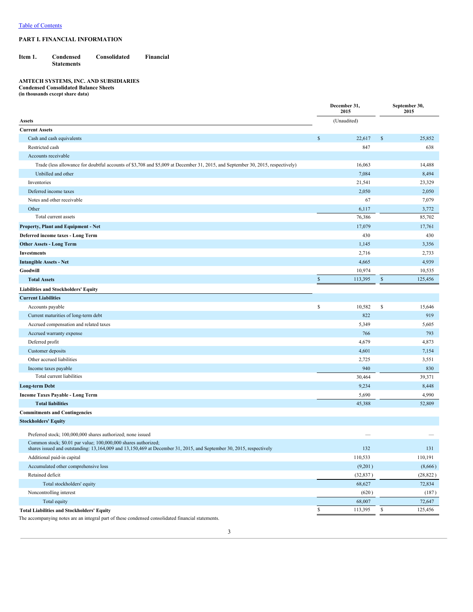## <span id="page-2-0"></span>**PART I. FINANCIAL INFORMATION**

## <span id="page-2-1"></span>**Item 1. Condensed Consolidated Financial Statements**

<span id="page-2-2"></span>**AMTECH SYSTEMS, INC. AND SUBSIDIARIES**

**Condensed Consolidated Balance Sheets (in thousands except share data)**

|                                                                                                                                                                                       |              | December 31,<br>2015 |              | September 30,<br>2015 |  |
|---------------------------------------------------------------------------------------------------------------------------------------------------------------------------------------|--------------|----------------------|--------------|-----------------------|--|
| <b>Assets</b>                                                                                                                                                                         |              | (Unaudited)          |              |                       |  |
| <b>Current Assets</b>                                                                                                                                                                 |              |                      |              |                       |  |
| Cash and cash equivalents                                                                                                                                                             | $\mathbb{S}$ | 22,617               | \$           | 25,852                |  |
| Restricted cash                                                                                                                                                                       |              | 847                  |              | 638                   |  |
| Accounts receivable                                                                                                                                                                   |              |                      |              |                       |  |
| Trade (less allowance for doubtful accounts of \$3,708 and \$5,009 at December 31, 2015, and September 30, 2015, respectively)                                                        |              | 16,063               |              | 14,488                |  |
| Unbilled and other                                                                                                                                                                    |              | 7,084                |              | 8,494                 |  |
| Inventories                                                                                                                                                                           |              | 21,541               |              | 23,329                |  |
| Deferred income taxes                                                                                                                                                                 |              | 2,050                |              | 2,050                 |  |
| Notes and other receivable                                                                                                                                                            |              | 67                   |              | 7,079                 |  |
| Other                                                                                                                                                                                 |              | 6,117                |              | 3,772                 |  |
| Total current assets                                                                                                                                                                  |              | 76,386               |              | 85,702                |  |
| Property, Plant and Equipment - Net                                                                                                                                                   |              | 17,079               |              | 17,761                |  |
| Deferred income taxes - Long Term                                                                                                                                                     |              | 430                  |              | 430                   |  |
| <b>Other Assets - Long Term</b>                                                                                                                                                       |              | 1,145                |              | 3,356                 |  |
| <b>Investments</b>                                                                                                                                                                    |              | 2,716                |              | 2,733                 |  |
| <b>Intangible Assets - Net</b>                                                                                                                                                        |              | 4,665                |              | 4,939                 |  |
| Goodwill                                                                                                                                                                              |              | 10,974               |              | 10,535                |  |
| <b>Total Assets</b>                                                                                                                                                                   | $\mathbb{S}$ | 113,395              | $\mathbb{S}$ | 125,456               |  |
| <b>Liabilities and Stockholders' Equity</b>                                                                                                                                           |              |                      |              |                       |  |
| <b>Current Liabilities</b>                                                                                                                                                            |              |                      |              |                       |  |
| Accounts payable                                                                                                                                                                      | \$           | 10,582               | \$           | 15,646                |  |
| Current maturities of long-term debt                                                                                                                                                  |              | 822                  |              | 919                   |  |
| Accrued compensation and related taxes                                                                                                                                                |              | 5,349                |              | 5,605                 |  |
| Accrued warranty expense                                                                                                                                                              |              | 766                  |              | 793                   |  |
| Deferred profit                                                                                                                                                                       |              | 4,679                |              | 4,873                 |  |
| Customer deposits                                                                                                                                                                     |              | 4,601                |              | 7,154                 |  |
| Other accrued liabilities                                                                                                                                                             |              | 2,725                |              | 3,551                 |  |
| Income taxes payable                                                                                                                                                                  |              | 940                  |              | 830                   |  |
| Total current liabilities                                                                                                                                                             |              | 30,464               |              | 39,371                |  |
| <b>Long-term Debt</b>                                                                                                                                                                 |              | 9,234                |              | 8,448                 |  |
| Income Taxes Payable - Long Term                                                                                                                                                      |              | 5,690                |              | 4,990                 |  |
| <b>Total liabilities</b>                                                                                                                                                              |              | 45,388               |              | 52,809                |  |
| <b>Commitments and Contingencies</b>                                                                                                                                                  |              |                      |              |                       |  |
| <b>Stockholders' Equity</b>                                                                                                                                                           |              |                      |              |                       |  |
| Preferred stock; 100,000,000 shares authorized; none issued                                                                                                                           |              |                      |              |                       |  |
| Common stock; \$0.01 par value; 100,000,000 shares authorized;<br>shares issued and outstanding: 13,164,009 and 13,150,469 at December 31, 2015, and September 30, 2015, respectively |              | 132                  |              | 131                   |  |
| Additional paid-in capital                                                                                                                                                            |              | 110,533              |              | 110,191               |  |
| Accumulated other comprehensive loss                                                                                                                                                  |              | (9,201)              |              | (8,666)               |  |
| Retained deficit                                                                                                                                                                      |              | (32, 837)            |              | (28, 822)             |  |
| Total stockholders' equity                                                                                                                                                            |              | 68,627               |              | 72,834                |  |
| Noncontrolling interest                                                                                                                                                               |              | (620)                |              | (187)                 |  |
| Total equity                                                                                                                                                                          |              | 68,007               |              | 72,647                |  |
| <b>Total Liabilities and Stockholders' Equity</b>                                                                                                                                     | \$           | 113,395              | \$           | 125,456               |  |
| The accompanying notes are an integral part of these condensed consolidated financial statements.                                                                                     |              |                      |              |                       |  |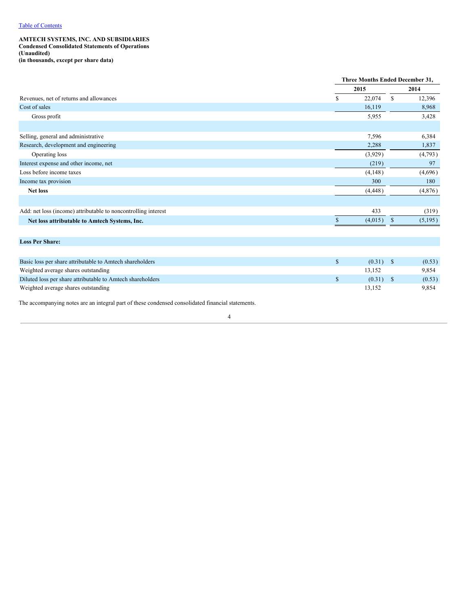## <span id="page-3-0"></span>**AMTECH SYSTEMS, INC. AND SUBSIDIARIES Condensed Consolidated Statements of Operations (Unaudited) (in thousands, except per share data)**

|                                                                                                                         |              | Three Months Ended December 31, |               |         |
|-------------------------------------------------------------------------------------------------------------------------|--------------|---------------------------------|---------------|---------|
|                                                                                                                         |              | 2015                            |               | 2014    |
| Revenues, net of returns and allowances                                                                                 | S            | 22,074                          | S.            | 12,396  |
| Cost of sales                                                                                                           |              | 16,119                          |               | 8,968   |
| Gross profit                                                                                                            |              | 5,955                           |               | 3,428   |
|                                                                                                                         |              |                                 |               |         |
| Selling, general and administrative                                                                                     |              | 7,596                           |               | 6,384   |
| Research, development and engineering                                                                                   |              | 2,288                           |               | 1,837   |
| Operating loss                                                                                                          |              | (3,929)                         |               | (4,793) |
| Interest expense and other income, net                                                                                  |              | (219)                           |               | 97      |
| Loss before income taxes                                                                                                |              | (4,148)                         |               | (4,696) |
| Income tax provision                                                                                                    |              | 300                             |               | 180     |
| <b>Net loss</b>                                                                                                         |              | (4, 448)                        |               | (4,876) |
|                                                                                                                         |              |                                 |               |         |
| Add: net loss (income) attributable to noncontrolling interest                                                          |              | 433                             |               | (319)   |
| Net loss attributable to Amtech Systems, Inc.                                                                           | S            | (4,015)                         | <sup>\$</sup> | (5,195) |
|                                                                                                                         |              |                                 |               |         |
| <b>Loss Per Share:</b>                                                                                                  |              |                                 |               |         |
|                                                                                                                         |              |                                 |               |         |
| Basic loss per share attributable to Amtech shareholders                                                                | $\mathbb{S}$ | (0.31)                          | <sup>\$</sup> | (0.53)  |
| Weighted average shares outstanding                                                                                     |              | 13,152                          |               | 9,854   |
| Diluted loss per share attributable to Amtech shareholders                                                              | $\mathbb{S}$ | (0.31)                          | $\mathbb{S}$  | (0.53)  |
| Weighted average shares outstanding                                                                                     |              | 13,152                          |               | 9,854   |
| $\tau$ the components are also and all the contracted of the component of a conditional $\alpha$ conditional components |              |                                 |               |         |

The accompanying notes are an integral part of these condensed consolidated financial statements.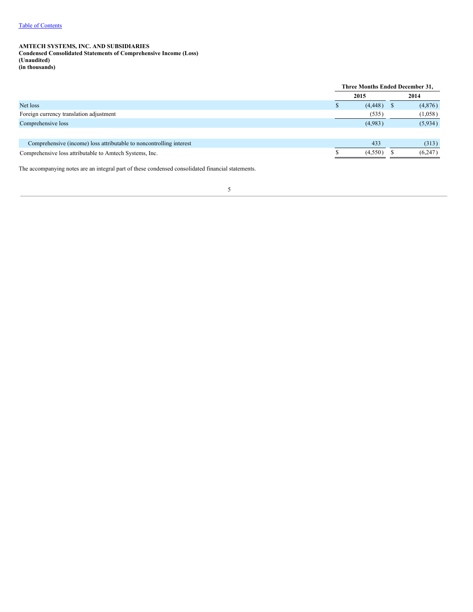## <span id="page-4-0"></span>**AMTECH SYSTEMS, INC. AND SUBSIDIARIES**

#### **Condensed Consolidated Statements of Comprehensive Income (Loss) (Unaudited)**

**(in thousands)**

|                                                                     |                   | Three Months Ended December 31, |  |  |  |
|---------------------------------------------------------------------|-------------------|---------------------------------|--|--|--|
|                                                                     | 2015              | 2014                            |  |  |  |
| Net loss                                                            | $(4,448)$ \$<br>ъ | (4,876)                         |  |  |  |
| Foreign currency translation adjustment                             | (535)             | (1,058)                         |  |  |  |
| Comprehensive loss                                                  | (4,983)           | (5,934)                         |  |  |  |
|                                                                     |                   |                                 |  |  |  |
| Comprehensive (income) loss attributable to noncontrolling interest | 433               | (313)                           |  |  |  |
| Comprehensive loss attributable to Amtech Systems, Inc.             | (4,550)           | (6,247)                         |  |  |  |
|                                                                     |                   |                                 |  |  |  |

The accompanying notes are an integral part of these condensed consolidated financial statements.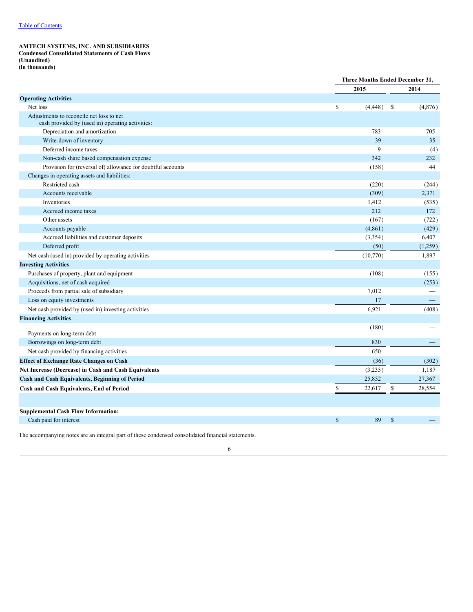## <span id="page-5-0"></span>**AMTECH SYSTEMS, INC. AND SUBSIDIARIES Condensed Consolidated Statements of Cash Flows (Unaudited) (in thousands)**

|                                                             |             | Three Months Ended December 31, |               |         |
|-------------------------------------------------------------|-------------|---------------------------------|---------------|---------|
|                                                             |             | 2015                            |               | 2014    |
| <b>Operating Activities</b>                                 |             |                                 |               |         |
| Net loss                                                    | \$          | (4, 448)                        | -\$           | (4,876) |
| Adjustments to reconcile net loss to net                    |             |                                 |               |         |
| cash provided by (used in) operating activities:            |             |                                 |               |         |
| Depreciation and amortization                               |             | 783                             |               | 705     |
| Write-down of inventory                                     |             | 39                              |               | 35      |
| Deferred income taxes                                       |             | 9                               |               | (4)     |
| Non-cash share based compensation expense                   |             | 342                             |               | 232     |
| Provision for (reversal of) allowance for doubtful accounts |             | (158)                           |               | 44      |
| Changes in operating assets and liabilities:                |             |                                 |               |         |
| Restricted cash                                             |             | (220)                           |               | (244)   |
| Accounts receivable                                         |             | (309)                           |               | 2,371   |
| <b>Inventories</b>                                          |             | 1,412                           |               | (535)   |
| Accrued income taxes                                        |             | 212                             |               | 172     |
| Other assets                                                |             | (167)                           |               | (722)   |
| Accounts payable                                            |             | (4,861)                         |               | (429)   |
| Accrued liabilities and customer deposits                   |             | (3, 354)                        |               | 6,407   |
| Deferred profit                                             |             | (50)                            |               | (1,259) |
| Net cash (used in) provided by operating activities         |             | (10,770)                        |               | 1,897   |
| <b>Investing Activities</b>                                 |             |                                 |               |         |
| Purchases of property, plant and equipment                  |             | (108)                           |               | (155)   |
| Acquisitions, net of cash acquired                          |             |                                 |               | (253)   |
| Proceeds from partial sale of subsidiary                    |             | 7,012                           |               |         |
| Loss on equity investments                                  |             | 17                              |               |         |
| Net cash provided by (used in) investing activities         |             | 6,921                           |               | (408)   |
| <b>Financing Activities</b>                                 |             |                                 |               |         |
|                                                             |             | (180)                           |               |         |
| Payments on long-term debt                                  |             |                                 |               |         |
| Borrowings on long-term debt                                |             | 830                             |               |         |
| Net cash provided by financing activities                   |             | 650                             |               | -       |
| <b>Effect of Exchange Rate Changes on Cash</b>              |             | (36)                            |               | (302)   |
| Net Increase (Decrease) in Cash and Cash Equivalents        |             | (3,235)                         |               | 1,187   |
| Cash and Cash Equivalents, Beginning of Period              |             | 25,852                          |               | 27,367  |
| Cash and Cash Equivalents, End of Period                    | \$          | 22,617                          | \$            | 28,554  |
|                                                             |             |                                 |               |         |
| <b>Supplemental Cash Flow Information:</b>                  |             |                                 |               |         |
| Cash paid for interest                                      | $\mathbf S$ | 89                              | <sup>\$</sup> |         |
|                                                             |             |                                 |               |         |

The accompanying notes are an integral part of these condensed consolidated financial statements.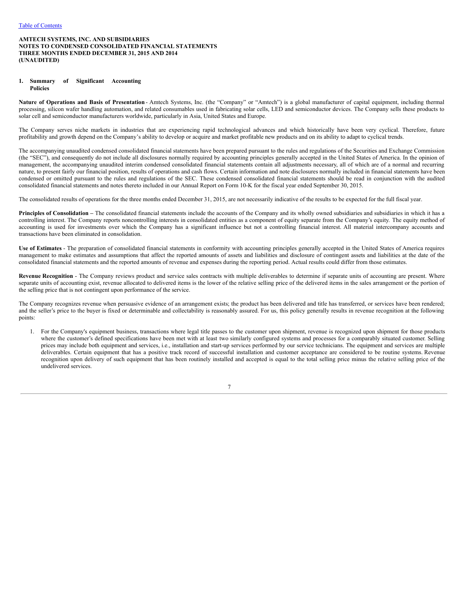## <span id="page-6-0"></span>**AMTECH SYSTEMS, INC. AND SUBSIDIARIES NOTES TO CONDENSED CONSOLIDATED FINANCIAL STATEMENTS THREE MONTHS ENDED DECEMBER 31, 2015 AND 2014 (UNAUDITED)**

#### **1. Summary of Significant Accounting Policies**

**Nature of Operations and Basis of Presentation** - Amtech Systems, Inc. (the "Company" or "Amtech") is a global manufacturer of capital equipment, including thermal processing, silicon wafer handling automation, and related consumables used in fabricating solar cells, LED and semiconductor devices. The Company sells these products to solar cell and semiconductor manufacturers worldwide, particularly in Asia, United States and Europe.

The Company serves niche markets in industries that are experiencing rapid technological advances and which historically have been very cyclical. Therefore, future profitability and growth depend on the Company's ability to develop or acquire and market profitable new products and on its ability to adapt to cyclical trends.

The accompanying unaudited condensed consolidated financial statements have been prepared pursuant to the rules and regulations of the Securities and Exchange Commission (the "SEC"), and consequently do not include all disclosures normally required by accounting principles generally accepted in the United States of America. In the opinion of management, the accompanying unaudited interim condensed consolidated financial statements contain all adjustments necessary, all of which are of a normal and recurring nature, to present fairly our financial position, results of operations and cash flows. Certain information and note disclosures normally included in financial statements have been condensed or omitted pursuant to the rules and regulations of the SEC. These condensed consolidated financial statements should be read in conjunction with the audited consolidated financial statements and notes thereto included in our Annual Report on Form 10-K for the fiscal year ended September 30, 2015.

The consolidated results of operations for the three months ended December 31, 2015, are not necessarily indicative of the results to be expected for the full fiscal year.

**Principles of Consolidation –** The consolidated financial statements include the accounts of the Company and its wholly owned subsidiaries and subsidiaries in which it has a controlling interest. The Company reports noncontrolling interests in consolidated entities as a component of equity separate from the Company's equity. The equity method of accounting is used for investments over which the Company has a significant influence but not a controlling financial interest. All material intercompany accounts and transactions have been eliminated in consolidation.

**Use of Estimates** - The preparation of consolidated financial statements in conformity with accounting principles generally accepted in the United States of America requires management to make estimates and assumptions that affect the reported amounts of assets and liabilities and disclosure of contingent assets and liabilities at the date of the consolidated financial statements and the reported amounts of revenue and expenses during the reporting period. Actual results could differ from those estimates.

Revenue Recognition - The Company reviews product and service sales contracts with multiple deliverables to determine if separate units of accounting are present. Where separate units of accounting exist, revenue allocated to delivered items is the lower of the relative selling price of the delivered items in the sales arrangement or the portion of the selling price that is not contingent upon performance of the service.

The Company recognizes revenue when persuasive evidence of an arrangement exists; the product has been delivered and title has transferred, or services have been rendered; and the seller's price to the buyer is fixed or determinable and collectability is reasonably assured. For us, this policy generally results in revenue recognition at the following points:

1. For the Company's equipment business, transactions where legal title passes to the customer upon shipment, revenue is recognized upon shipment for those products where the customer's defined specifications have been met with at least two similarly configured systems and processes for a comparably situated customer. Selling prices may include both equipment and services, i.e., installation and start-up services performed by our service technicians. The equipment and services are multiple deliverables. Certain equipment that has a positive track record of successful installation and customer acceptance are considered to be routine systems. Revenue recognition upon delivery of such equipment that has been routinely installed and accepted is equal to the total selling price minus the relative selling price of the undelivered services.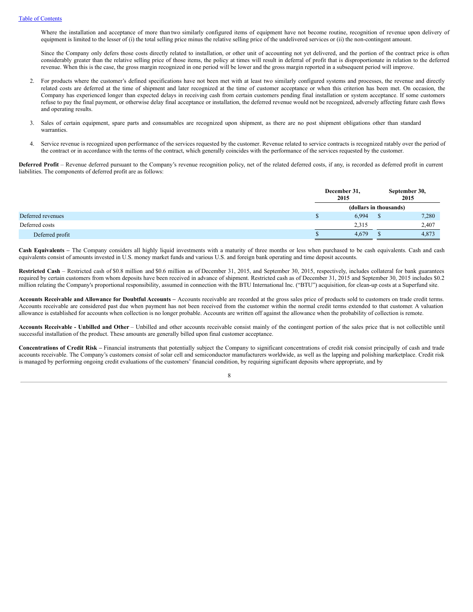Where the installation and acceptance of more than two similarly configured items of equipment have not become routine, recognition of revenue upon delivery of equipment is limited to the lesser of (i) the total selling price minus the relative selling price of the undelivered services or (ii) the non-contingent amount.

Since the Company only defers those costs directly related to installation, or other unit of accounting not yet delivered, and the portion of the contract price is often considerably greater than the relative selling price of those items, the policy at times will result in deferral of profit that is disproportionate in relation to the deferred revenue. When this is the case, the gross margin recognized in one period will be lower and the gross margin reported in a subsequent period will improve.

- 2. For products where the customer's defined specifications have not been met with at least two similarly configured systems and processes, the revenue and directly related costs are deferred at the time of shipment and later recognized at the time of customer acceptance or when this criterion has been met. On occasion, the Company has experienced longer than expected delays in receiving cash from certain customers pending final installation or system acceptance. If some customers refuse to pay the final payment, or otherwise delay final acceptance or installation, the deferred revenue would not be recognized, adversely affecting future cash flows and operating results.
- 3. Sales of certain equipment, spare parts and consumables are recognized upon shipment, as there are no post shipment obligations other than standard warranties.
- 4. Service revenue is recognized upon performance of the services requested by the customer. Revenue related to service contracts is recognized ratably over the period of the contract or in accordance with the terms of the contract, which generally coincides with the performance of the services requested by the customer.

**Deferred Profit** – Revenue deferred pursuant to the Company's revenue recognition policy, net of the related deferred costs, if any, is recorded as deferred profit in current liabilities. The components of deferred profit are as follows:

|                   | December 31,<br>2015   | September 30,<br>2015 |
|-------------------|------------------------|-----------------------|
|                   | (dollars in thousands) |                       |
| Deferred revenues | 6,994                  | 7,280                 |
| Deferred costs    | 2,315                  | 2,407                 |
| Deferred profit   | 4,679                  | 4,873                 |

**Cash Equivalents –** The Company considers all highly liquid investments with a maturity of three months or less when purchased to be cash equivalents. Cash and cash equivalents consist of amounts invested in U.S. money market funds and various U.S. and foreign bank operating and time deposit accounts.

**Restricted Cash** – Restricted cash of \$0.8 million and \$0.6 million as of December 31, 2015, and September 30, 2015, respectively, includes collateral for bank guarantees required by certain customers from whom deposits have been received in advance of shipment. Restricted cash as of December 31, 2015 and September 30, 2015 includes \$0.2 million relating the Company's proportional responsibility, assumed in connection with the BTU International Inc. ("BTU") acquisition, for clean-up costs at a Superfund site.

**Accounts Receivable and Allowance for Doubtful Accounts –** Accounts receivable are recorded at the gross sales price of products sold to customers on trade credit terms. Accounts receivable are considered past due when payment has not been received from the customer within the normal credit terms extended to that customer. A valuation allowance is established for accounts when collection is no longer probable. Accounts are written off against the allowance when the probability of collection is remote.

**Accounts Receivable - Unbilled and Other** – Unbilled and other accounts receivable consist mainly of the contingent portion of the sales price that is not collectible until successful installation of the product. These amounts are generally billed upon final customer acceptance.

**Concentrations of Credit Risk –** Financial instruments that potentially subject the Company to significant concentrations of credit risk consist principally of cash and trade accounts receivable. The Company's customers consist of solar cell and semiconductor manufacturers worldwide, as well as the lapping and polishing marketplace. Credit risk is managed by performing ongoing credit evaluations of the customers' financial condition, by requiring significant deposits where appropriate, and by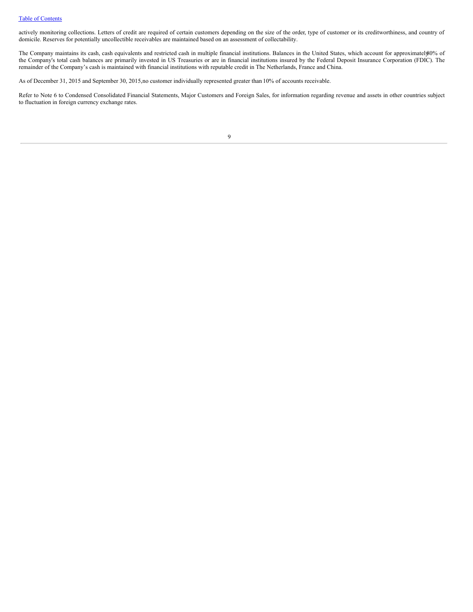actively monitoring collections. Letters of credit are required of certain customers depending on the size of the order, type of customer or its creditworthiness, and country of domicile. Reserves for potentially uncollectible receivables are maintained based on an assessment of collectability.

The Company maintains its cash, cash equivalents and restricted cash in multiple financial institutions. Balances in the United States, which account for approximately80% of the Company's total cash balances are primarily invested in US Treasuries or are in financial institutions insured by the Federal Deposit Insurance Corporation (FDIC). The remainder of the Company's cash is maintained with financial institutions with reputable credit in The Netherlands, France and China.

As of December 31, 2015 and September 30, 2015,no customer individually represented greater than 10% of accounts receivable.

Refer to Note 6 to Condensed Consolidated Financial Statements, Major Customers and Foreign Sales, for information regarding revenue and assets in other countries subject to fluctuation in foreign currency exchange rates.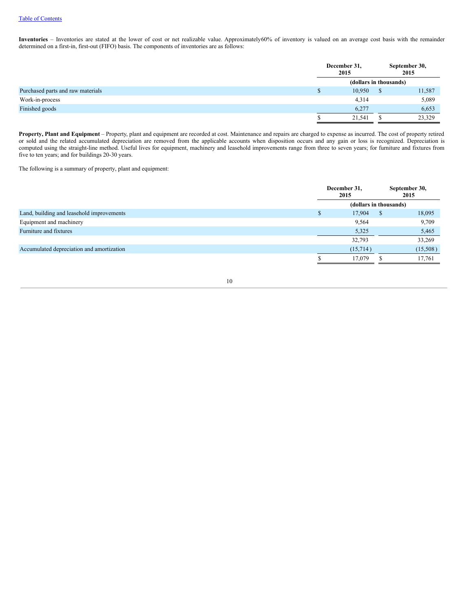**Inventories** – Inventories are stated at the lower of cost or net realizable value. Approximately60% of inventory is valued on an average cost basis with the remainder determined on a first-in, first-out (FIFO) basis. The components of inventories are as follows:

|                                   | December 31,<br>2015 | September 30,<br>2015  |        |  |
|-----------------------------------|----------------------|------------------------|--------|--|
|                                   |                      | (dollars in thousands) |        |  |
| Purchased parts and raw materials | 10,950               |                        | 11,587 |  |
| Work-in-process                   | 4,314                |                        | 5,089  |  |
| Finished goods                    | 6,277                |                        | 6,653  |  |
|                                   | 21,541               |                        | 23,329 |  |

**Property, Plant and Equipment** – Property, plant and equipment are recorded at cost. Maintenance and repairs are charged to expense as incurred. The cost of property retired or sold and the related accumulated depreciation are removed from the applicable accounts when disposition occurs and any gain or loss is recognized. Depreciation is computed using the straight-line method. Useful lives for equipment, machinery and leasehold improvements range from three to seven years; for furniture and fixtures from five to ten years; and for buildings 20-30 years.

The following is a summary of property, plant and equipment:

|                                           |   | December 31,<br>2015 |                        | September 30,<br>2015 |
|-------------------------------------------|---|----------------------|------------------------|-----------------------|
|                                           |   |                      | (dollars in thousands) |                       |
| Land, building and leasehold improvements | æ | 17,904               | -S                     | 18,095                |
| Equipment and machinery                   |   | 9,564                |                        | 9,709                 |
| Furniture and fixtures                    |   | 5,325                |                        | 5,465                 |
|                                           |   | 32,793               |                        | 33,269                |
| Accumulated depreciation and amortization |   | (15,714)             |                        | (15,508)              |
|                                           |   | 17.079               |                        | 17,761                |
|                                           |   |                      |                        |                       |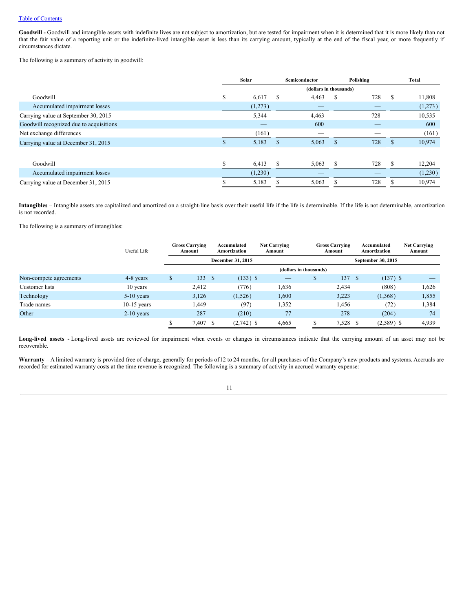Goodwill - Goodwill and intangible assets with indefinite lives are not subject to amortization, but are tested for impairment when it is determined that it is more likely than not that the fair value of a reporting unit or the indefinite-lived intangible asset is less than its carrying amount, typically at the end of the fiscal year, or more frequently if circumstances dictate.

The following is a summary of activity in goodwill:

|                                         | Solar                    |    | Semiconductor          |   | Polishing |   | Total   |
|-----------------------------------------|--------------------------|----|------------------------|---|-----------|---|---------|
|                                         |                          |    | (dollars in thousands) |   |           |   |         |
| Goodwill                                | \$<br>6,617              | -S | 4,463                  | S | 728       | S | 11,808  |
| Accumulated impairment losses           | (1,273)                  |    |                        |   |           |   | (1,273) |
| Carrying value at September 30, 2015    | 5,344                    |    | 4,463                  |   | 728       |   | 10,535  |
| Goodwill recognized due to acquisitions | $\overline{\phantom{a}}$ |    | 600                    |   |           |   | 600     |
| Net exchange differences                | (161)                    |    | _                      |   |           |   | (161)   |
| Carrying value at December 31, 2015     | 5,183                    |    | 5,063                  |   | 728       |   | 10,974  |
|                                         |                          |    |                        |   |           |   |         |
| Goodwill                                | 6,413                    | S  | 5,063                  | S | 728       | S | 12,204  |
| Accumulated impairment losses           | (1,230)                  |    | _                      |   |           |   | (1,230) |
| Carrying value at December 31, 2015     | 5,183                    |    | 5,063                  |   | 728       |   | 10,974  |

**Intangibles** – Intangible assets are capitalized and amortized on a straight-line basis over their useful life if the life is determinable. If the life is not determinable, amortization is not recorded.

The following is a summary of intangibles:

|                        | Useful Life   | <b>Gross Carrying</b><br>Amount |    | Accumulated<br>Amortization | <b>Net Carrying</b><br>Amount |   | <b>Gross Carrying</b><br>Amount | Accumulated<br>Amortization | <b>Net Carrying</b><br>Amount |
|------------------------|---------------|---------------------------------|----|-----------------------------|-------------------------------|---|---------------------------------|-----------------------------|-------------------------------|
|                        |               | December 31, 2015               |    |                             |                               |   |                                 | September 30, 2015          |                               |
|                        |               | (dollars in thousands)          |    |                             |                               |   |                                 |                             |                               |
| Non-compete agreements | 4-8 years     | \$<br>133                       | -S | $(133)$ \$                  | $\qquad \qquad - \qquad$      | S | 137S                            | $(137)$ \$                  |                               |
| Customer lists         | 10 years      | 2,412                           |    | (776)                       | 1,636                         |   | 2,434                           | (808)                       | 1,626                         |
| Technology             | $5-10$ years  | 3,126                           |    | (1,526)                     | 1,600                         |   | 3,223                           | (1, 368)                    | 1,855                         |
| Trade names            | $10-15$ years | 1,449                           |    | (97)                        | 1,352                         |   | .456                            | (72)                        | 1,384                         |
| Other                  | $2-10$ years  | 287                             |    | (210)                       | 77                            |   | 278                             | (204)                       | 74                            |
|                        |               | 7,407 \$                        |    | $(2,742)$ \$                | 4,665                         |   | 7,528 \$                        | $(2,589)$ \$                | 4,939                         |

**Long-lived assets -** Long-lived assets are reviewed for impairment when events or changes in circumstances indicate that the carrying amount of an asset may not be recoverable.

Warranty - A limited warranty is provided free of charge, generally for periods of 12 to 24 months, for all purchases of the Company's new products and systems. Accruals are recorded for estimated warranty costs at the time revenue is recognized. The following is a summary of activity in accrued warranty expense: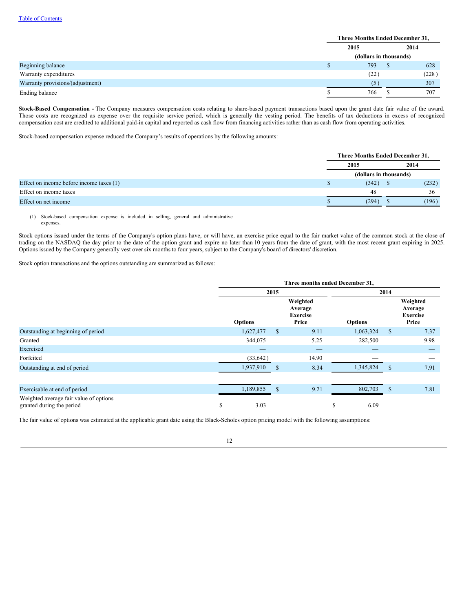|                                  |      | Three Months Ended December 31, |       |  |  |
|----------------------------------|------|---------------------------------|-------|--|--|
|                                  | 2015 |                                 | 2014  |  |  |
|                                  |      | (dollars in thousands)          |       |  |  |
| Beginning balance                |      | 793<br>Ъ                        | 628   |  |  |
| Warranty expenditures            |      | (22)                            | (228) |  |  |
| Warranty provisions/(adjustment) |      | (5)                             | 307   |  |  |
| Ending balance                   |      | 766                             | 707   |  |  |

**Stock-Based Compensation -** The Company measures compensation costs relating to share-based payment transactions based upon the grant date fair value of the award. Those costs are recognized as expense over the requisite service period, which is generally the vesting period. The benefits of tax deductions in excess of recognized compensation cost are credited to additional paid-in capital and reported as cash flow from financing activities rather than as cash flow from operating activities.

Stock-based compensation expense reduced the Company's results of operations by the following amounts:

|                                          | Three Months Ended December 31, |  |       |  |
|------------------------------------------|---------------------------------|--|-------|--|
|                                          | 2015                            |  | 2014  |  |
|                                          | (dollars in thousands)          |  |       |  |
| Effect on income before income taxes (1) | (342)                           |  | (232) |  |
| Effect on income taxes                   | 48                              |  | 36    |  |
| Effect on net income                     | (294)                           |  | (196) |  |

(1) Stock-based compensation expense is included in selling, general and administrative expenses.

Stock options issued under the terms of the Company's option plans have, or will have, an exercise price equal to the fair market value of the common stock at the close of trading on the NASDAQ the day prior to the date of the option grant and expire no later than 10 years from the date of grant, with the most recent grant expiring in 2025. Options issued by the Company generally vest over six months to four years, subject to the Company's board of directors' discretion.

Stock option transactions and the options outstanding are summarized as follows:

|                                                                     |                | Three months ended December 31, |                                                 |                |               |                                                 |  |  |
|---------------------------------------------------------------------|----------------|---------------------------------|-------------------------------------------------|----------------|---------------|-------------------------------------------------|--|--|
|                                                                     |                | 2015                            |                                                 |                | 2014          |                                                 |  |  |
|                                                                     | <b>Options</b> |                                 | Weighted<br>Average<br><b>Exercise</b><br>Price | <b>Options</b> |               | Weighted<br>Average<br><b>Exercise</b><br>Price |  |  |
| Outstanding at beginning of period                                  | 1,627,477      | $\mathbb{S}$                    | 9.11                                            | 1,063,324      | <sup>\$</sup> | 7.37                                            |  |  |
| Granted                                                             | 344,075        |                                 | 5.25                                            | 282,500        |               | 9.98                                            |  |  |
| Exercised                                                           |                | _                               | _                                               | _              |               |                                                 |  |  |
| Forfeited                                                           | (33, 642)      |                                 | 14.90                                           |                |               |                                                 |  |  |
| Outstanding at end of period                                        | 1,937,910      | $\mathcal{S}$                   | 8.34                                            | 1,345,824      | <sup>\$</sup> | 7.91                                            |  |  |
| Exercisable at end of period                                        | 1,189,855      | $\mathbb{S}$                    | 9.21                                            | 802,703        | - \$          | 7.81                                            |  |  |
| Weighted average fair value of options<br>granted during the period | \$<br>3.03     |                                 |                                                 | S<br>6.09      |               |                                                 |  |  |

The fair value of options was estimated at the applicable grant date using the Black-Scholes option pricing model with the following assumptions: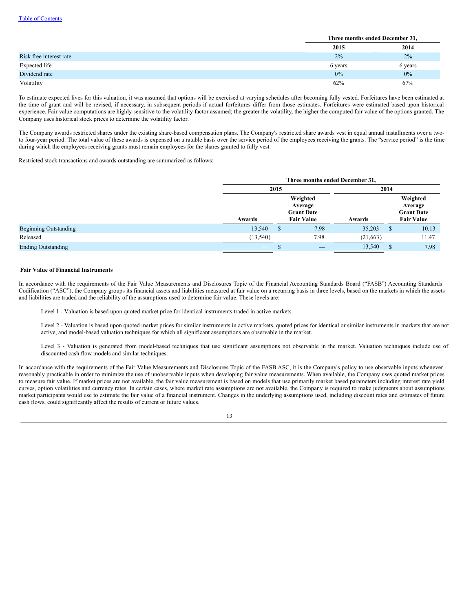|                         | Three months ended December 31, |         |
|-------------------------|---------------------------------|---------|
|                         | 2015                            | 2014    |
| Risk free interest rate | 2%                              | $2\%$   |
| Expected life           | 6 years                         | 6 years |
| Dividend rate           | $0\%$                           | $0\%$   |
| Volatility              | 62%                             | 67%     |

To estimate expected lives for this valuation, it was assumed that options will be exercised at varying schedules after becoming fully vested. Forfeitures have been estimated at the time of grant and will be revised, if necessary, in subsequent periods if actual forfeitures differ from those estimates. Forfeitures were estimated based upon historical experience. Fair value computations are highly sensitive to the volatility factor assumed; the greater the volatility, the higher the computed fair value of the options granted. The Company uses historical stock prices to determine the volatility factor.

The Company awards restricted shares under the existing share-based compensation plans. The Company's restricted share awards vest in equal annual installments over a twoto four-year period. The total value of these awards is expensed on a ratable basis over the service period of the employees receiving the grants. The "service period" is the time during which the employees receiving grants must remain employees for the shares granted to fully vest.

Restricted stock transactions and awards outstanding are summarized as follows:

|                              |          | Three months ended December 31,                               |      |          |      |                                                               |  |
|------------------------------|----------|---------------------------------------------------------------|------|----------|------|---------------------------------------------------------------|--|
|                              |          | 2015                                                          |      |          | 2014 |                                                               |  |
|                              | Awards   | Weighted<br>Average<br><b>Grant Date</b><br><b>Fair Value</b> |      | Awards   |      | Weighted<br>Average<br><b>Grant Date</b><br><b>Fair Value</b> |  |
| <b>Beginning Outstanding</b> | 13,540   | S                                                             | 7.98 | 35,203   | -S   | 10.13                                                         |  |
| Released                     | (13,540) |                                                               | 7.98 | (21,663) |      | 11.47                                                         |  |
| <b>Ending Outstanding</b>    | _        |                                                               | $-$  | 13,540   | -S   | 7.98                                                          |  |

### **Fair Value of Financial Instruments**

In accordance with the requirements of the Fair Value Measurements and Disclosures Topic of the Financial Accounting Standards Board ("FASB") Accounting Standards Codification ("ASC"), the Company groups its financial assets and liabilities measured at fair value on a recurring basis in three levels, based on the markets in which the assets and liabilities are traded and the reliability of the assumptions used to determine fair value. These levels are:

Level 1 - Valuation is based upon quoted market price for identical instruments traded in active markets.

Level 2 - Valuation is based upon quoted market prices for similar instruments in active markets, quoted prices for identical or similar instruments in markets that are not active, and model-based valuation techniques for which all significant assumptions are observable in the market.

Level 3 - Valuation is generated from model-based techniques that use significant assumptions not observable in the market. Valuation techniques include use of discounted cash flow models and similar techniques.

In accordance with the requirements of the Fair Value Measurements and Disclosures Topic of the FASB ASC, it is the Company's policy to use observable inputs whenever reasonably practicable in order to minimize the use of unobservable inputs when developing fair value measurements. When available, the Company uses quoted market prices to measure fair value. If market prices are not available, the fair value measurement is based on models that use primarily market based parameters including interest rate yield curves, option volatilities and currency rates. In certain cases, where market rate assumptions are not available, the Company is required to make judgments about assumptions market participants would use to estimate the fair value of a financial instrument. Changes in the underlying assumptions used, including discount rates and estimates of future cash flows, could significantly affect the results of current or future values.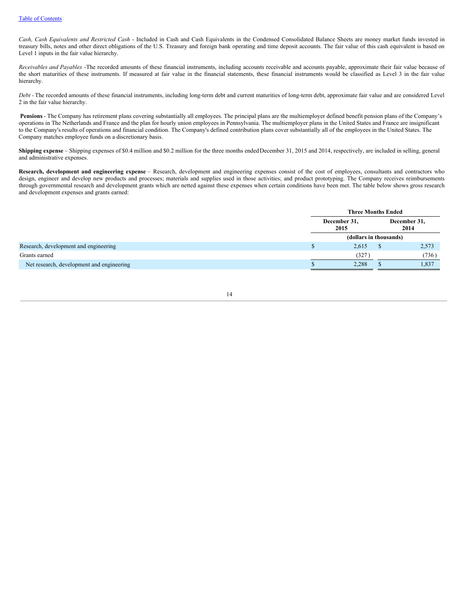*Cash, Cash Equivalents and Restricted Cash* - Included in Cash and Cash Equivalents in the Condensed Consolidated Balance Sheets are money market funds invested in treasury bills, notes and other direct obligations of the U.S. Treasury and foreign bank operating and time deposit accounts. The fair value of this cash equivalent is based on Level 1 inputs in the fair value hierarchy.

*Receivables and Payables* -The recorded amounts of these financial instruments, including accounts receivable and accounts payable, approximate their fair value because of the short maturities of these instruments. If measured at fair value in the financial statements, these financial instruments would be classified as Level 3 in the fair value hierarchy.

*Debt -* The recorded amounts of these financial instruments, including long-term debt and current maturities of long-term debt, approximate fair value and are considered Level 2 in the fair value hierarchy.

Pensions - The Company has retirement plans covering substantially all employees. The principal plans are the multiemployer defined benefit pension plans of the Company's operations in The Netherlands and France and the plan for hourly union employees in Pennsylvania. The multiemployer plans in the United States and France are insignificant to the Company's results of operations and financial condition. The Company's defined contribution plans cover substantially all of the employees in the United States. The Company matches employee funds on a discretionary basis.

**Shipping expense** – Shipping expenses of \$0.4 million and \$0.2 million for the three months endedDecember 31, 2015 and 2014, respectively, are included in selling, general and administrative expenses.

**Research, development and engineering expense** – Research, development and engineering expenses consist of the cost of employees, consultants and contractors who design, engineer and develop new products and processes; materials and supplies used in those activities; and product prototyping. The Company receives reimbursements through governmental research and development grants which are netted against these expenses when certain conditions have been met. The table below shows gross research and development expenses and grants earned:

|                                           |  | <b>Three Months Ended</b> |  |                      |  |
|-------------------------------------------|--|---------------------------|--|----------------------|--|
|                                           |  | December 31,<br>2015      |  | December 31,<br>2014 |  |
|                                           |  | (dollars in thousands)    |  |                      |  |
| Research, development and engineering     |  | 2,615                     |  | 2,573                |  |
| Grants earned                             |  | (327)                     |  | (736)                |  |
| Net research, development and engineering |  | 2,288                     |  | 1,837                |  |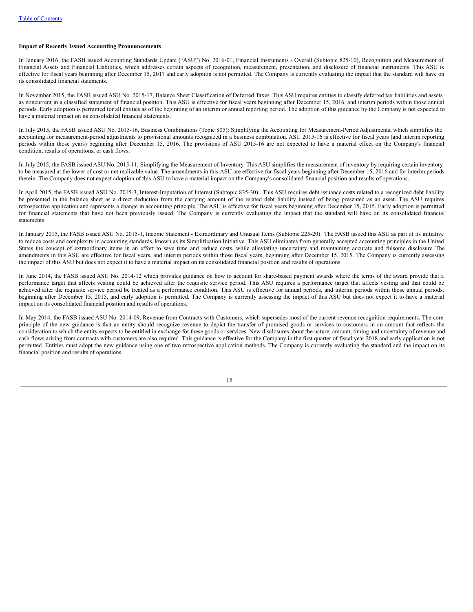## **Impact of Recently Issued Accounting Pronouncements**

In January 2016, the FASB issued Accounting Standards Update ("ASU") No. 2016-01, Financial Instruments - Overall (Subtopic 825-10), Recognition and Measurement of Financial Assets and Financial Liabilities, which addresses certain aspects of recognition, measurement, presentation, and disclosure of financial instruments. This ASU is effective for fiscal years beginning after December 15, 2017 and early adoption is not permitted. The Company is currently evaluating the impact that the standard will have on its consolidated financial statements.

In November 2015, the FASB issued ASU No. 2015-17, Balance Sheet Classification of Deferred Taxes. This ASU requires entities to classify deferred tax liabilities and assets as noncurrent in a classified statement of financial position. This ASU is effective for fiscal years beginning after December 15, 2016, and interim periods within those annual periods. Early adoption is permitted for all entities as of the beginning of an interim or annual reporting period. The adoption of this guidance by the Company is not expected to have a material impact on its consolidated financial statements.

In July 2015, the FASB issued ASU No. 2015-16, Business Combinations (Topic 805): Simplifying the Accounting for Measurement-Period Adjustments, which simplifies the accounting for measurement-period adjustments to provisional amounts recognized in a business combination. ASU 2015-16 is effective for fiscal years (and interim reporting periods within those years) beginning after December 15, 2016. The provisions of ASU 2015-16 are not expected to have a material effect on the Company's financial condition, results of operations, or cash flows.

In July 2015, the FASB issued ASU No. 2015-11, Simplifying the Measurement of Inventory. This ASU simplifies the measurement of inventory by requiring certain inventory to be measured at the lower of cost or net realizable value. The amendments in this ASU are effective for fiscal years beginning after December 15, 2016 and for interim periods therein. The Company does not expect adoption of this ASU to have a material impact on the Company's consolidated financial position and results of operations.

In April 2015, the FASB issued ASU No. 2015-3, Interest-Imputation of Interest (Subtopic 835-30). This ASU requires debt issuance costs related to a recognized debt liability be presented in the balance sheet as a direct deduction from the carrying amount of the related debt liability instead of being presented as an asset. The ASU requires retrospective application and represents a change in accounting principle. The ASU is effective for fiscal years beginning after December 15, 2015. Early adoption is permitted for financial statements that have not been previously issued. The Company is currently evaluating the impact that the standard will have on its consolidated financial statements.

In January 2015, the FASB issued ASU No. 2015-1, Income Statement - Extraordinary and Unusual Items (Subtopic 225-20). The FASB issued this ASU as part of its initiative to reduce costs and complexity in accounting standards, known as its Simplification Initiative. This ASU eliminates from generally accepted accounting principles in the United States the concept of extraordinary items in an effort to save time and reduce costs, while alleviating uncertainty and maintaining accurate and fulsome disclosure. The amendments in this ASU are effective for fiscal years, and interim periods within those fiscal years, beginning after December 15, 2015. The Company is currently assessing the impact of this ASU but does not expect it to have a material impact on its consolidated financial position and results of operations.

In June 2014, the FASB issued ASU No. 2014-12 which provides guidance on how to account for share-based payment awards where the terms of the award provide that a performance target that affects vesting could be achieved after the requisite service period. This ASU requires a performance target that affects vesting and that could be achieved after the requisite service period be treated as a performance condition. This ASU is effective for annual periods, and interim periods within those annual periods, beginning after December 15, 2015, and early adoption is permitted. The Company is currently assessing the impact of this ASU but does not expect it to have a material impact on its consolidated financial position and results of operations.

In May 2014, the FASB issued ASU No. 2014-09, Revenue from Contracts with Customers, which supersedes most of the current revenue recognition requirements. The core principle of the new guidance is that an entity should recognize revenue to depict the transfer of promised goods or services to customers in an amount that reflects the consideration to which the entity expects to be entitled in exchange for these goods or services. New disclosures about the nature, amount, timing and uncertainty of revenue and cash flows arising from contracts with customers are also required. This guidance is effective for the Company in the first quarter of fiscal year 2018 and early application is not permitted. Entities must adopt the new guidance using one of two retrospective application methods. The Company is currently evaluating the standard and the impact on its financial position and results of operations.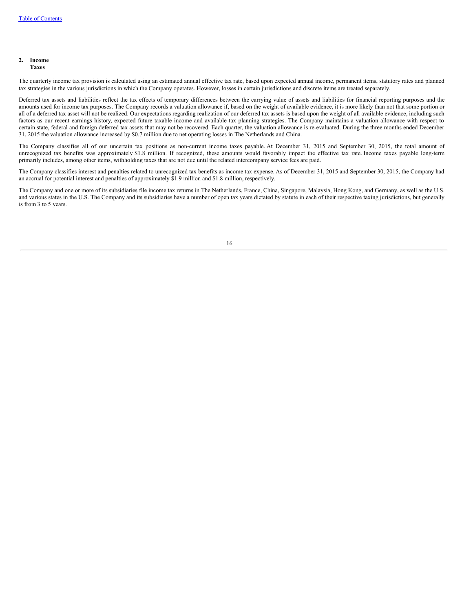#### **2. Income Taxes**

The quarterly income tax provision is calculated using an estimated annual effective tax rate, based upon expected annual income, permanent items, statutory rates and planned tax strategies in the various jurisdictions in which the Company operates. However, losses in certain jurisdictions and discrete items are treated separately.

Deferred tax assets and liabilities reflect the tax effects of temporary differences between the carrying value of assets and liabilities for financial reporting purposes and the amounts used for income tax purposes. The Company records a valuation allowance if, based on the weight of available evidence, it is more likely than not that some portion or all of a deferred tax asset will not be realized. Our expectations regarding realization of our deferred tax assets is based upon the weight of all available evidence, including such factors as our recent earnings history, expected future taxable income and available tax planning strategies. The Company maintains a valuation allowance with respect to certain state, federal and foreign deferred tax assets that may not be recovered. Each quarter, the valuation allowance is re-evaluated. During the three months ended December 31, 2015 the valuation allowance increased by \$0.7 million due to net operating losses in The Netherlands and China.

The Company classifies all of our uncertain tax positions as non-current income taxes payable. At December 31, 2015 and September 30, 2015, the total amount of unrecognized tax benefits was approximately \$1.8 million. If recognized, these amounts would favorably impact the effective tax rate. Income taxes payable long-term primarily includes, among other items, withholding taxes that are not due until the related intercompany service fees are paid.

The Company classifies interest and penalties related to unrecognized tax benefits as income tax expense. As of December 31, 2015 and September 30, 2015, the Company had an accrual for potential interest and penalties of approximately \$1.9 million and \$1.8 million, respectively.

The Company and one or more of its subsidiaries file income tax returns in The Netherlands, France, China, Singapore, Malaysia, Hong Kong, and Germany, as well as the U.S. and various states in the U.S. The Company and its subsidiaries have a number of open tax years dictated by statute in each of their respective taxing jurisdictions, but generally is from 3 to 5 years.

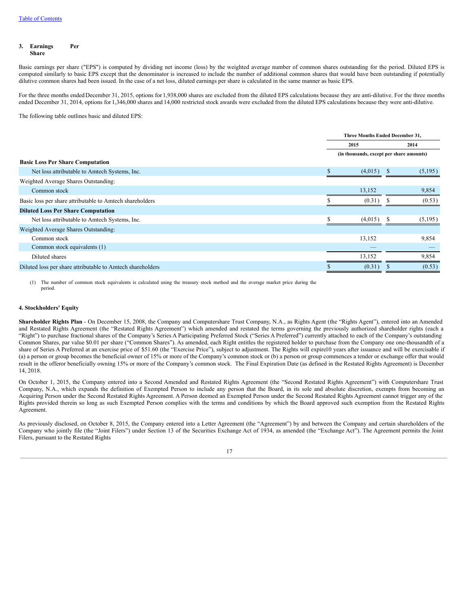# **3. Earnings Per**

# **Share**

Basic earnings per share ("EPS") is computed by dividing net income (loss) by the weighted average number of common shares outstanding for the period. Diluted EPS is computed similarly to basic EPS except that the denominator is increased to include the number of additional common shares that would have been outstanding if potentially dilutive common shares had been issued. In the case of a net loss, diluted earnings per share is calculated in the same manner as basic EPS.

For the three months ended December 31, 2015, options for 1,938,000 shares are excluded from the diluted EPS calculations because they are anti-dilutive. For the three months ended December 31, 2014, options for 1,346,000 shares and 14,000 restricted stock awards were excluded from the diluted EPS calculations because they were anti-dilutive.

The following table outlines basic and diluted EPS:

|                                                            |    | Three Months Ended December 31,          |   |         |
|------------------------------------------------------------|----|------------------------------------------|---|---------|
|                                                            |    | 2015                                     |   | 2014    |
|                                                            |    | (in thousands, except per share amounts) |   |         |
| <b>Basic Loss Per Share Computation</b>                    |    |                                          |   |         |
| Net loss attributable to Amtech Systems, Inc.              |    | (4,015)                                  | S | (5,195) |
| Weighted Average Shares Outstanding:                       |    |                                          |   |         |
| Common stock                                               |    | 13,152                                   |   | 9,854   |
| Basic loss per share attributable to Amtech shareholders   |    | (0.31)                                   |   | (0.53)  |
| <b>Diluted Loss Per Share Computation</b>                  |    |                                          |   |         |
| Net loss attributable to Amtech Systems, Inc.              | S. | (4,015)                                  | S | (5,195) |
| Weighted Average Shares Outstanding:                       |    |                                          |   |         |
| Common stock                                               |    | 13,152                                   |   | 9,854   |
| Common stock equivalents (1)                               |    |                                          |   |         |
| Diluted shares                                             |    | 13,152                                   |   | 9,854   |
| Diluted loss per share attributable to Amtech shareholders |    | (0.31)                                   |   | (0.53)  |

(1) The number of common stock equivalents is calculated using the treasury stock method and the average market price during the period.

## **4. Stockholders' Equity**

**Shareholder Rights Plan** - On December 15, 2008, the Company and Computershare Trust Company, N.A., as Rights Agent (the "Rights Agent"), entered into an Amended and Restated Rights Agreement (the "Restated Rights Agreement") which amended and restated the terms governing the previously authorized shareholder rights (each a "Right") to purchase fractional shares of the Company's Series A Participating Preferred Stock ("Series A Preferred") currently attached to each of the Company's outstanding Common Shares, par value \$0.01 per share ("Common Shares"). As amended, each Right entitles the registered holder to purchase from the Company one one-thousandth of a share of Series A Preferred at an exercise price of \$51.60 (the "Exercise Price"), subject to adjustment. The Rights will expire10 years after issuance and will be exercisable if (a) a person or group becomes the beneficial owner of 15% or more of the Company's common stock or (b) a person or group commences a tender or exchange offer that would result in the offeror beneficially owning 15% or more of the Company's common stock. The Final Expiration Date (as defined in the Restated Rights Agreement) is December 14, 2018.

On October 1, 2015, the Company entered into a Second Amended and Restated Rights Agreement (the "Second Restated Rights Agreement") with Computershare Trust Company, N.A., which expands the definition of Exempted Person to include any person that the Board, in its sole and absolute discretion, exempts from becoming an Acquiring Person under the Second Restated Rights Agreement. A Person deemed an Exempted Person under the Second Restated Rights Agreement cannot trigger any of the Rights provided therein so long as such Exempted Person complies with the terms and conditions by which the Board approved such exemption from the Restated Rights Agreement.

As previously disclosed, on October 8, 2015, the Company entered into a Letter Agreement (the "Agreement") by and between the Company and certain shareholders of the Company who jointly file (the "Joint Filers") under Section 13 of the Securities Exchange Act of 1934, as amended (the "Exchange Act"). The Agreement permits the Joint Filers, pursuant to the Restated Rights

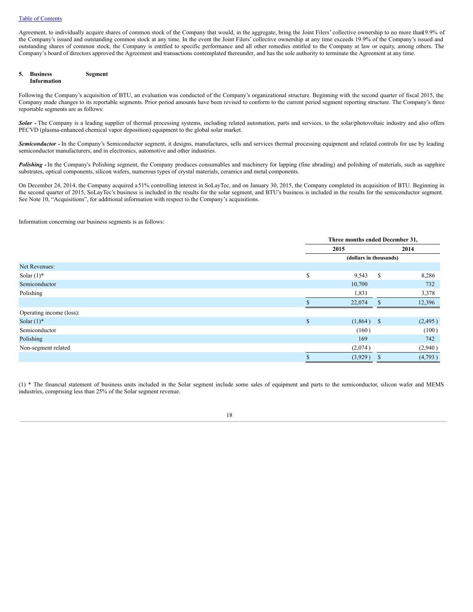Agreement, to individually acquire shares of common stock of the Company that would, in the aggregate, bring the Joint Filers' collective ownership to no more than19.9% of the Company's issued and outstanding common stock at any time. In the event the Joint Filers' collective ownership at any time exceeds 19.9% of the Company's issued and outstanding shares of common stock, the Company is entitled to specific performance and all other remedies entitled to the Company at law or equity, among others. The Company's board of directors approved the Agreement and transactions contemplated thereunder, and has the sole authority to terminate the Agreement at any time.

#### **5. Business Segment Information**

Following the Company's acquisition of BTU, an evaluation was conducted of the Company's organizational structure. Beginning with the second quarter of fiscal 2015, the Company made changes to its reportable segments. Prior period amounts have been revised to conform to the current period segment reporting structure. The Company's three reportable segments are as follows:

Solar *-* The Company is a leading supplier of thermal processing systems, including related automation, parts and services, to the solar/photovoltaic industry and also offers PECVD (plasma-enhanced chemical vapor deposition) equipment to the global solar market.

Semiconductor - In the Company's Semiconductor segment, it designs, manufactures, sells and services thermal processing equipment and related controls for use by leading semiconductor manufacturers, and in electronics, automotive and other industries.

*Polishing -* In the Company's Polishing segment, the Company produces consumables and machinery for lapping (fine abrading) and polishing of materials, such as sapphire substrates, optical components, silicon wafers, numerous types of crystal materials, ceramics and metal components.

On December 24, 2014, the Company acquired a 51% controlling interest in SoLayTec, and on January 30, 2015, the Company completed its acquisition of BTU. Beginning in the second quarter of 2015, SoLayTec's business is included in the results for the solar segment, and BTU's business is included in the results for the semiconductor segment. See Note 10, "Acquisitions", for additional information with respect to the Company's acquisitions.

Information concerning our business segments is as follows:

|                          |              | Three months ended December 31, |            |         |  |
|--------------------------|--------------|---------------------------------|------------|---------|--|
|                          |              | 2015                            |            | 2014    |  |
|                          |              | (dollars in thousands)          |            |         |  |
| Net Revenues:            |              |                                 |            |         |  |
| Solar $(1)^*$            | \$.          | 9,543                           | \$         | 8,286   |  |
| Semiconductor            |              | 10,700                          |            | 732     |  |
| Polishing                |              | 1,831                           |            | 3,378   |  |
|                          |              | 22,074                          |            | 12,396  |  |
| Operating income (loss): |              |                                 |            |         |  |
| Solar $(1)^*$            | $\mathbb{S}$ | $(1,864)$ \$                    |            | (2,495) |  |
| Semiconductor            |              | (160)                           |            | (100)   |  |
| Polishing                |              | 169                             |            | 742     |  |
| Non-segment related      |              | (2,074)                         |            | (2,940) |  |
|                          |              | (3,929)                         | $^{\circ}$ | (4,793) |  |

(1) \* The financial statement of business units included in the Solar segment include some sales of equipment and parts to the semiconductor, silicon wafer and MEMS industries, comprising less than 25% of the Solar segment revenue.

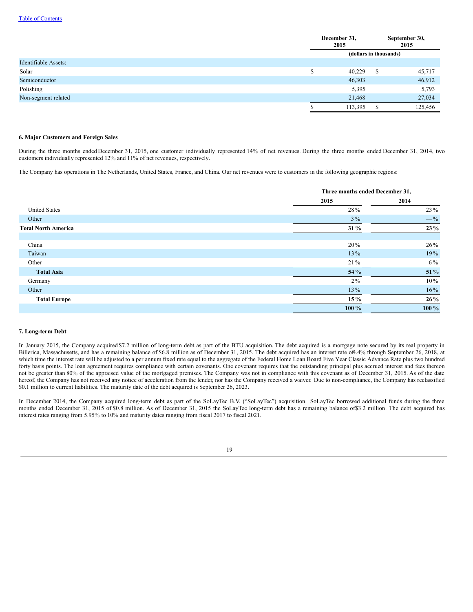|                      | December 31,<br>2015   |    | September 30,<br>2015 |
|----------------------|------------------------|----|-----------------------|
|                      | (dollars in thousands) |    |                       |
| Identifiable Assets: |                        |    |                       |
| Solar                | 40,229                 | -S | 45,717                |
| Semiconductor        | 46,303                 |    | 46,912                |
| Polishing            | 5,395                  |    | 5,793                 |
| Non-segment related  | 21,468                 |    | 27,034                |
|                      | 113,395                | S  | 125,456               |

## **6. Major Customers and Foreign Sales**

During the three months ended December 31, 2015, one customer individually represented 14% of net revenues. During the three months ended December 31, 2014, two customers individually represented 12% and 11% of net revenues, respectively.

The Company has operations in The Netherlands, United States, France, and China. Our net revenues were to customers in the following geographic regions:

|                            | Three months ended December 31, |         |
|----------------------------|---------------------------------|---------|
|                            | 2015                            | 2014    |
| <b>United States</b>       | 28%                             | 23 %    |
| Other                      | $3\%$                           | $-$ %   |
| <b>Total North America</b> | 31%                             | $23\%$  |
|                            |                                 |         |
| China                      | 20%                             | $26\%$  |
| Taiwan                     | $13\%$                          | 19%     |
| Other                      | $21\%$                          | $6\%$   |
| <b>Total Asia</b>          | 54 %                            | 51 %    |
| Germany                    | $2\%$                           | $10\%$  |
| Other                      | 13%                             | 16%     |
| <b>Total Europe</b>        | 15%                             | $26\%$  |
|                            | $100\%$                         | $100\%$ |

## **7. Long-term Debt**

In January 2015, the Company acquired \$7.2 million of long-term debt as part of the BTU acquisition. The debt acquired is a mortgage note secured by its real property in Billerica, Massachusetts, and has a remaining balance of \$6.8 million as of December 31, 2015. The debt acquired has an interest rate of4.4% through September 26, 2018, at which time the interest rate will be adjusted to a per annum fixed rate equal to the aggregate of the Federal Home Loan Board Five Year Classic Advance Rate plus two hundred forty basis points. The loan agreement requires compliance with certain covenants. One covenant requires that the outstanding principal plus accrued interest and fees thereon not be greater than 80% of the appraised value of the mortgaged premises. The Company was not in compliance with this covenant as of December 31, 2015. As of the date hereof, the Company has not received any notice of acceleration from the lender, nor has the Company received a waiver. Due to non-compliance, the Company has reclassified \$0.1 million to current liabilities. The maturity date of the debt acquired is September 26, 2023.

In December 2014, the Company acquired long-term debt as part of the SoLayTec B.V. ("SoLayTec") acquisition. SoLayTec borrowed additional funds during the three months ended December 31, 2015 of \$0.8 million. As of December 31, 2015 the SoLayTec long-term debt has a remaining balance of\$3.2 million. The debt acquired has interest rates ranging from 5.95% to 10% and maturity dates ranging from fiscal 2017 to fiscal 2021.

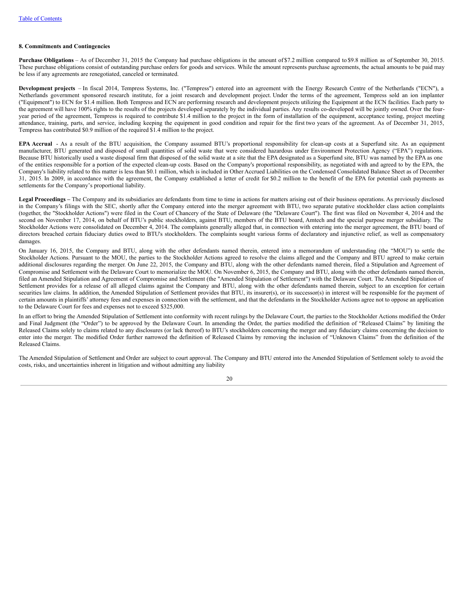## **8. Commitments and Contingencies**

**Purchase Obligations** – As of December 31, 2015 the Company had purchase obligations in the amount of \$7.2 million compared to \$9.8 million as of September 30, 2015. These purchase obligations consist of outstanding purchase orders for goods and services. While the amount represents purchase agreements, the actual amounts to be paid may be less if any agreements are renegotiated, canceled or terminated.

**Development projects** – In fiscal 2014, Tempress Systems, Inc. ("Tempress") entered into an agreement with the Energy Research Centre of the Netherlands ("ECN"), a Netherlands government sponsored research institute, for a joint research and development project. Under the terms of the agreement, Tempress sold an ion implanter ("Equipment") to ECN for \$1.4 million. Both Tempress and ECN are performing research and development projects utilizing the Equipment at the ECN facilities. Each party to the agreement will have 100% rights to the results of the projects developed separately by the individual parties. Any results co-developed will be jointly owned. Over the fouryear period of the agreement, Tempress is required to contribute \$1.4 million to the project in the form of installation of the equipment, acceptance testing, project meeting attendance, training, parts, and service, including keeping the equipment in good condition and repair for the first two years of the agreement. As of December 31, 2015, Tempress has contributed \$0.9 million of the required \$1.4 million to the project.

**EPA Accrual** - As a result of the BTU acquisition, the Company assumed BTU's proportional responsibility for clean-up costs at a Superfund site. As an equipment manufacturer, BTU generated and disposed of small quantities of solid waste that were considered hazardous under Environment Protection Agency ("EPA") regulations. Because BTU historically used a waste disposal firm that disposed of the solid waste at a site that the EPA designated as a Superfund site, BTU was named by the EPA as one of the entities responsible for a portion of the expected clean-up costs. Based on the Company's proportional responsibility, as negotiated with and agreed to by the EPA, the Company's liability related to this matter is less than \$0.1 million, which is included in Other Accrued Liabilities on the Condensed Consolidated Balance Sheet as of December 31, 2015. In 2009, in accordance with the agreement, the Company established a letter of credit for \$0.2 million to the benefit of the EPA for potential cash payments as settlements for the Company's proportional liability.

**Legal Proceedings –** The Company and its subsidiaries are defendants from time to time in actions for matters arising out of their business operations. As previously disclosed in the Company's filings with the SEC, shortly after the Company entered into the merger agreement with BTU, two separate putative stockholder class action complaints (together, the "Stockholder Actions") were filed in the Court of Chancery of the State of Delaware (the "Delaware Court"). The first was filed on November 4, 2014 and the second on November 17, 2014, on behalf of BTU's public stockholders, against BTU, members of the BTU board, Amtech and the special purpose merger subsidiary. The Stockholder Actions were consolidated on December 4, 2014. The complaints generally alleged that, in connection with entering into the merger agreement, the BTU board of directors breached certain fiduciary duties owed to BTU's stockholders. The complaints sought various forms of declaratory and injunctive relief, as well as compensatory damages.

On January 16, 2015, the Company and BTU, along with the other defendants named therein, entered into a memorandum of understanding (the "MOU") to settle the Stockholder Actions. Pursuant to the MOU, the parties to the Stockholder Actions agreed to resolve the claims alleged and the Company and BTU agreed to make certain additional disclosures regarding the merger. On June 22, 2015, the Company and BTU, along with the other defendants named therein, filed a Stipulation and Agreement of Compromise and Settlement with the Delaware Court to memorialize the MOU. On November 6, 2015, the Company and BTU, along with the other defendants named therein, filed an Amended Stipulation and Agreement of Compromise and Settlement (the "Amended Stipulation of Settlement") with the Delaware Court. The Amended Stipulation of Settlement provides for a release of all alleged claims against the Company and BTU, along with the other defendants named therein, subject to an exception for certain securities law claims. In addition, the Amended Stipulation of Settlement provides that BTU, its insurer(s), or its successor(s) in interest will be responsible for the payment of certain amounts in plaintiffs' attorney fees and expenses in connection with the settlement, and that the defendants in the Stockholder Actions agree not to oppose an application to the Delaware Court for fees and expenses not to exceed \$325,000.

In an effort to bring the Amended Stipulation of Settlement into conformity with recent rulings by the Delaware Court, the parties to the Stockholder Actions modified the Order and Final Judgment (the "Order") to be approved by the Delaware Court. In amending the Order, the parties modified the definition of "Released Claims" by limiting the Released Claims solely to claims related to any disclosures (or lack thereof) to BTU's stockholders concerning the merger and any fiduciary claims concerning the decision to enter into the merger. The modified Order further narrowed the definition of Released Claims by removing the inclusion of "Unknown Claims" from the definition of the Released Claims.

The Amended Stipulation of Settlement and Order are subject to court approval. The Company and BTU entered into the Amended Stipulation of Settlement solely to avoid the costs, risks, and uncertainties inherent in litigation and without admitting any liability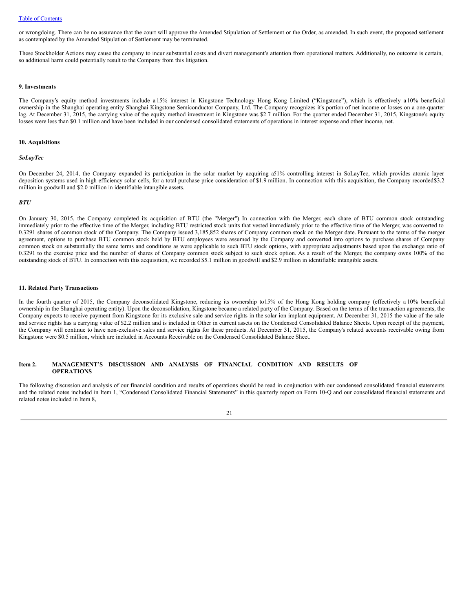or wrongdoing. There can be no assurance that the court will approve the Amended Stipulation of Settlement or the Order, as amended. In such event, the proposed settlement as contemplated by the Amended Stipulation of Settlement may be terminated.

These Stockholder Actions may cause the company to incur substantial costs and divert management's attention from operational matters. Additionally, no outcome is certain, so additional harm could potentially result to the Company from this litigation.

#### **9. Investments**

The Company's equity method investments include a 15% interest in Kingstone Technology Hong Kong Limited ("Kingstone"), which is effectively a 10% beneficial ownership in the Shanghai operating entity Shanghai Kingstone Semiconductor Company, Ltd. The Company recognizes it's portion of net income or losses on a one-quarter lag. At December 31, 2015, the carrying value of the equity method investment in Kingstone was \$2.7 million. For the quarter ended December 31, 2015, Kingstone's equity losses were less than \$0.1 million and have been included in our condensed consolidated statements of operations in interest expense and other income, net.

#### **10. Acquisitions**

#### *SoLayTec*

On December 24, 2014, the Company expanded its participation in the solar market by acquiring a51% controlling interest in SoLayTec, which provides atomic layer deposition systems used in high efficiency solar cells, for a total purchase price consideration of \$1.9 million. In connection with this acquisition, the Company recorded \$3.2 million in goodwill and \$2.0 million in identifiable intangible assets.

## *BTU*

On January 30, 2015, the Company completed its acquisition of BTU (the "Merger"). In connection with the Merger, each share of BTU common stock outstanding immediately prior to the effective time of the Merger, including BTU restricted stock units that vested immediately prior to the effective time of the Merger, was converted to 0.3291 shares of common stock of the Company. The Company issued 3,185,852 shares of Company common stock on the Merger date. Pursuant to the terms of the merger agreement, options to purchase BTU common stock held by BTU employees were assumed by the Company and converted into options to purchase shares of Company common stock on substantially the same terms and conditions as were applicable to such BTU stock options, with appropriate adjustments based upon the exchange ratio of 0.3291 to the exercise price and the number of shares of Company common stock subject to such stock option. As a result of the Merger, the company owns 100% of the outstanding stock of BTU. In connection with this acquisition, we recorded \$5.1 million in goodwill and \$2.9 million in identifiable intangible assets.

## **11. Related Party Transactions**

In the fourth quarter of 2015, the Company deconsolidated Kingstone, reducing its ownership to15% of the Hong Kong holding company (effectively a 10% beneficial ownership in the Shanghai operating entity). Upon the deconsolidation, Kingstone became a related party of the Company. Based on the terms of the transaction agreements, the Company expects to receive payment from Kingstone for its exclusive sale and service rights in the solar ion implant equipment. At December 31, 2015 the value of the sale and service rights has a carrying value of \$2.2 million and is included in Other in current assets on the Condensed Consolidated Balance Sheets. Upon receipt of the payment, the Company will continue to have non-exclusive sales and service rights for these products. At December 31, 2015, the Company's related accounts receivable owing from Kingstone were \$0.5 million, which are included in Accounts Receivable on the Condensed Consolidated Balance Sheet.

## <span id="page-20-0"></span>**Item 2. MANAGEMENT'S DISCUSSION AND ANALYSIS OF FINANCIAL CONDITION AND RESULTS OF OPERATIONS**

The following discussion and analysis of our financial condition and results of operations should be read in conjunction with our condensed consolidated financial statements and the related notes included in Item 1, "Condensed Consolidated Financial Statements" in this quarterly report on Form 10-Q and our consolidated financial statements and related notes included in Item 8,

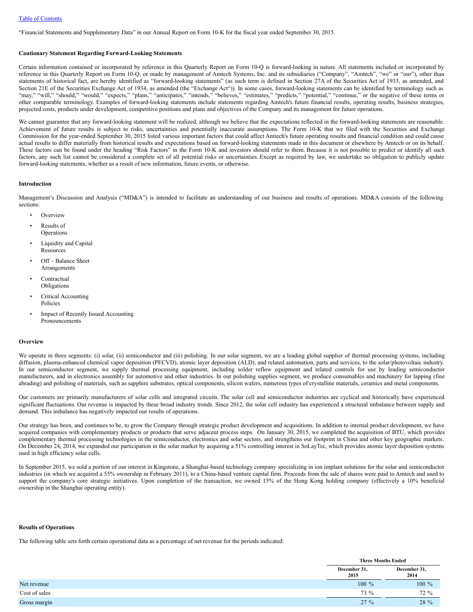"Financial Statements and Supplementary Data" in our Annual Report on Form 10-K for the fiscal year ended September 30, 2015.

#### <span id="page-21-0"></span>**Cautionary Statement Regarding Forward-Looking Statements**

Certain information contained or incorporated by reference in this Quarterly Report on Form 10-Q is forward-looking in nature. All statements included or incorporated by reference in this Quarterly Report on Form 10-Q, or made by management of Amtech Systems, Inc. and its subsidiaries ("Company", "Amtech", "we" or "our"), other than statements of historical fact, are hereby identified as "forward-looking statements" (as such term is defined in Section 27A of the Securities Act of 1933, as amended, and Section 21E of the Securities Exchange Act of 1934, as amended (the "Exchange Act")). In some cases, forward-looking statements can be identified by terminology such as "may," "will," "should," "would," "expects," "plans," "anticipates," "intends," "believes," "estimates," "predicts," "potential," "continue," or the negative of these terms or other comparable terminology. Examples of forward-looking statements include statements regarding Amtech's future financial results, operating results, business strategies, projected costs, products under development, competitive positions and plans and objectives of the Company and its management for future operations.

We cannot guarantee that any forward-looking statement will be realized, although we believe that the expectations reflected in the forward-looking statements are reasonable. Achievement of future results is subject to risks, uncertainties and potentially inaccurate assumptions. The Form 10-K that we filed with the Securities and Exchange Commission for the year-ended September 30, 2015 listed various important factors that could affect Amtech's future operating results and financial condition and could cause actual results to differ materially from historical results and expectations based on forward-looking statements made in this document or elsewhere by Amtech or on its behalf. These factors can be found under the heading "Risk Factors" in the Form 10-K and investors should refer to them. Because it is not possible to predict or identify all such factors, any such list cannot be considered a complete set of all potential risks or uncertainties. Except as required by law, we undertake no obligation to publicly update forward-looking statements, whether as a result of new information, future events, or otherwise.

## **Introduction**

Management's Discussion and Analysis ("MD&A") is intended to facilitate an understanding of our business and results of operations. MD&A consists of the following sections:

- **Overview**
- Results of **Operations**
- Liquidity and Capital **Resources**
- Off Balance Sheet **Arrangements**
- Contractual **Obligations**
- Critical Accounting Policies
- Impact of Recently Issued Accounting Pronouncements

#### <span id="page-21-1"></span>**Overview**

We operate in three segments: (i) solar, (ii) semiconductor and (iii) polishing. In our solar segment, we are a leading global supplier of thermal processing systems, including diffusion, plasma-enhanced chemical vapor deposition (PECVD), atomic layer deposition (ALD), and related automation, parts and services, to the solar/photovoltaic industry. In our semiconductor segment, we supply thermal processing equipment, including solder reflow equipment and related controls for use by leading semiconductor manufacturers, and in electronics assembly for automotive and other industries. In our polishing supplies segment, we produce consumables and machinery for lapping (fine abrading) and polishing of materials, such as sapphire substrates, optical components, silicon wafers, numerous types of crystalline materials, ceramics and metal components.

Our customers are primarily manufacturers of solar cells and integrated circuits. The solar cell and semiconductor industries are cyclical and historically have experienced significant fluctuations. Our revenue is impacted by these broad industry trends. Since 2012, the solar cell industry has experienced a structural imbalance between supply and demand. This imbalance has negatively impacted our results of operations.

Our strategy has been, and continues to be, to grow the Company through strategic product development and acquisitions. In addition to internal product development, we have acquired companies with complementary products or products that serve adjacent process steps. On January 30, 2015, we completed the acquisition of BTU, which provides complementary thermal processing technologies in the semiconductor, electronics and solar sectors, and strengthens our footprint in China and other key geographic markets. On December 24, 2014, we expanded our participation in the solar market by acquiring a 51% controlling interest in SoLayTec, which provides atomic layer deposition systems used in high efficiency solar cells.

In September 2015, we sold a portion of our interest in Kingstone, a Shanghai-based technology company specializing in ion implant solutions for the solar and semiconductor industries (in which we acquired a 55% ownership in February 2011), to a China-based venture capital firm. Proceeds from the sale of shares were paid to Amtech and used to support the company's core strategic initiatives. Upon completion of the transaction, we owned 15% of the Hong Kong holding company (effectively a 10% beneficial ownership in the Shanghai operating entity).

#### <span id="page-21-2"></span>**Results of Operations**

The following table sets forth certain operational data as a percentage of net revenue for the periods indicated:

|               | <b>Three Months Ended</b> |                      |
|---------------|---------------------------|----------------------|
|               | December 31,<br>2015      | December 31,<br>2014 |
| Net revenue   | $100 \%$                  | 100 %                |
| Cost of sales | 73 %                      | 72 %                 |
| Gross margin  | $27\%$                    | 28 %                 |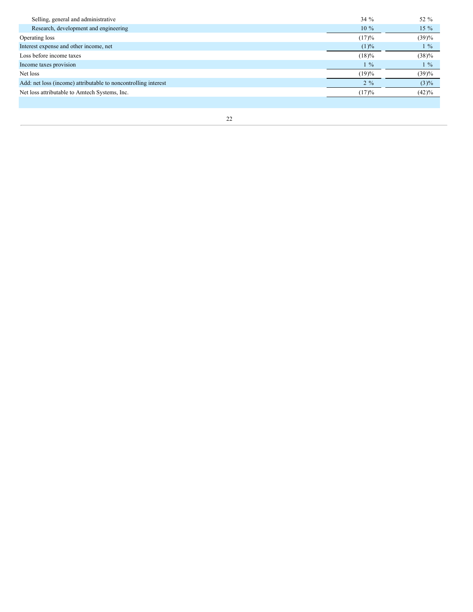| Selling, general and administrative                            | $34\%$   | 52 %     |
|----------------------------------------------------------------|----------|----------|
| Research, development and engineering                          | $10\%$   | $15\%$   |
| Operating loss                                                 | (17)%    | (39)%    |
| Interest expense and other income, net                         | (1)%     | $1\%$    |
| Loss before income taxes                                       | $(18)\%$ | $(38)\%$ |
| Income taxes provision                                         | $1\%$    | $1\%$    |
| Net loss                                                       | (19)%    | (39)%    |
| Add: net loss (income) attributable to noncontrolling interest | $2\%$    | $(3)\%$  |
| Net loss attributable to Amtech Systems, Inc.                  | (17)%    | (42)%    |
|                                                                |          |          |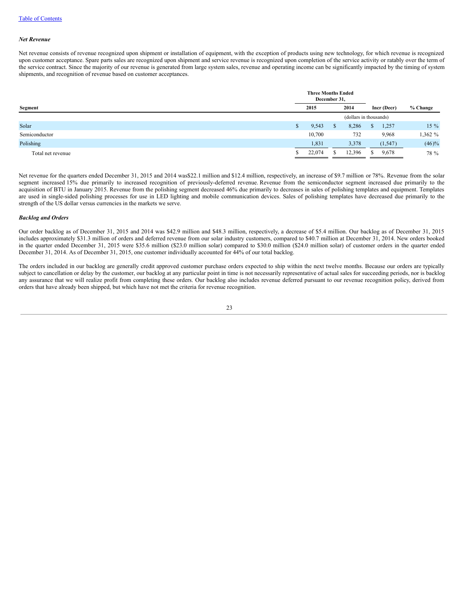#### *Net Revenue*

Net revenue consists of revenue recognized upon shipment or installation of equipment, with the exception of products using new technology, for which revenue is recognized upon customer acceptance. Spare parts sales are recognized upon shipment and service revenue is recognized upon completion of the service activity or ratably over the term of the service contract. Since the majority of our revenue is generated from large system sales, revenue and operating income can be significantly impacted by the timing of system shipments, and recognition of revenue based on customer acceptances.

|                   |   | <b>Three Months Ended</b><br>December 31, |    |        |          |             |          |  |
|-------------------|---|-------------------------------------------|----|--------|----------|-------------|----------|--|
| Segment           |   | 2015                                      |    | 2014   |          | Incr (Decr) | % Change |  |
|                   |   | (dollars in thousands)                    |    |        |          |             |          |  |
| Solar             | S | 9,543                                     | \$ | 8,286  | <b>S</b> | 1,257       | 15 %     |  |
| Semiconductor     |   | 10,700                                    |    | 732    |          | 9,968       | 1,362 %  |  |
| Polishing         |   | 1,831                                     |    | 3,378  |          | (1, 547)    | (46)%    |  |
| Total net revenue |   | 22,074                                    |    | 12,396 |          | 9,678       | 78 %     |  |
|                   |   |                                           |    |        |          |             |          |  |

Net revenue for the quarters ended December 31, 2015 and 2014 was\$22.1 million and \$12.4 million, respectively, an increase of \$9.7 million or 78%. Revenue from the solar segment increased 15% due primarily to increased recognition of previously-deferred revenue. Revenue from the semiconductor segment increased due primarily to the acquisition of BTU in January 2015. Revenue from the polishing segment decreased 46% due primarily to decreases in sales of polishing templates and equipment. Templates are used in single-sided polishing processes for use in LED lighting and mobile communication devices. Sales of polishing templates have decreased due primarily to the strength of the US dollar versus currencies in the markets we serve.

#### *Backlog and Orders*

Our order backlog as of December 31, 2015 and 2014 was \$42.9 million and \$48.3 million, respectively, a decrease of \$5.4 million. Our backlog as of December 31, 2015 includes approximately \$31.3 million of orders and deferred revenue from our solar industry customers, compared to \$40.7 million at December 31, 2014. New orders booked in the quarter ended December 31, 2015 were \$35.6 million (\$23.0 million solar) compared to \$30.0 million (\$24.0 million solar) of customer orders in the quarter ended December 31, 2014. As of December 31, 2015, one customer individually accounted for 44% of our total backlog.

The orders included in our backlog are generally credit approved customer purchase orders expected to ship within the next twelve months. Because our orders are typically subject to cancellation or delay by the customer, our backlog at any particular point in time is not necessarily representative of actual sales for succeeding periods, nor is backlog any assurance that we will realize profit from completing these orders. Our backlog also includes revenue deferred pursuant to our revenue recognition policy, derived from orders that have already been shipped, but which have not met the criteria for revenue recognition.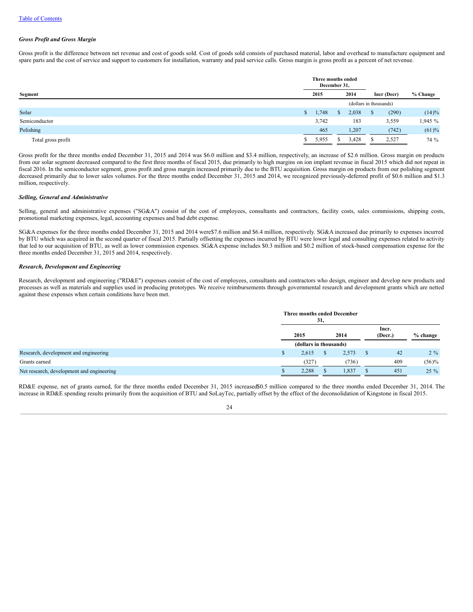## *Gross Profit and Gross Margin*

Gross profit is the difference between net revenue and cost of goods sold. Cost of goods sold consists of purchased material, labor and overhead to manufacture equipment and spare parts and the cost of service and support to customers for installation, warranty and paid service calls. Gross margin is gross profit as a percent of net revenue.

| Segment            |    | Three months ended<br>December 31, |                        |             |   |          |         |
|--------------------|----|------------------------------------|------------------------|-------------|---|----------|---------|
|                    |    | 2015<br>2014                       |                        | Incr (Decr) |   | % Change |         |
|                    |    |                                    | (dollars in thousands) |             |   |          |         |
| Solar              | \$ | 1,748                              |                        | 2,038       | S | (290)    | (14)%   |
| Semiconductor      |    | 3,742                              |                        | 183         |   | 3,559    | 1,945 % |
| Polishing          |    | 465                                |                        | 1,207       |   | (742)    | (61)%   |
| Total gross profit | S  | 5,955                              |                        | 3,428       |   | 2,527    | 74 %    |

Gross profit for the three months ended December 31, 2015 and 2014 was \$6.0 million and \$3.4 million, respectively, an increase of \$2.6 million. Gross margin on products from our solar segment decreased compared to the first three months of fiscal 2015, due primarily to high margins on ion implant revenue in fiscal 2015 which did not repeat in fiscal 2016. In the semiconductor segment, gross profit and gross margin increased primarily due to the BTU acquisition. Gross margin on products from our polishing segment decreased primarily due to lower sales volumes. For the three months ended December 31, 2015 and 2014, we recognized previously-deferred profit of \$0.6 million and \$1.3 million, respectively.

## *Selling, General and Administrative*

Selling, general and administrative expenses ("SG&A") consist of the cost of employees, consultants and contractors, facility costs, sales commissions, shipping costs, promotional marketing expenses, legal, accounting expenses and bad debt expense.

SG&A expenses for the three months ended December 31, 2015 and 2014 were \$7.6 million and \$6.4 million, respectively. SG&A increased due primarily to expenses incurred by BTU which was acquired in the second quarter of fiscal 2015. Partially offsetting the expenses incurred by BTU were lower legal and consulting expenses related to activity that led to our acquisition of BTU, as well as lower commission expenses. SG&A expense includes \$0.3 million and \$0.2 million of stock-based compensation expense for the three months ended December 31, 2015 and 2014, respectively.

## *Research, Development and Engineering*

Research, development and engineering ("RD&E") expenses consist of the cost of employees, consultants and contractors who design, engineer and develop new products and processes as well as materials and supplies used in producing prototypes. We receive reimbursements through governmental research and development grants which are netted against these expenses when certain conditions have been met.

|                                           | Three months ended December<br>31, |       |   |       |  |                  |            |
|-------------------------------------------|------------------------------------|-------|---|-------|--|------------------|------------|
|                                           | 2015                               |       |   | 2014  |  | Incr.<br>(Decr.) | $%$ change |
|                                           | (dollars in thousands)             |       |   |       |  |                  |            |
| Research, development and engineering     |                                    | 2,615 | S | 2,573 |  | 42               | $2\%$      |
| Grants earned                             |                                    | (327) |   | (736) |  | 409              | $(56)\%$   |
| Net research, development and engineering |                                    | 2,288 |   | 1,837 |  | 451              | $25 \%$    |

RD&E expense, net of grants earned, for the three months ended December 31, 2015 increased\$0.5 million compared to the three months ended December 31, 2014. The increase in RD&E spending results primarily from the acquisition of BTU and SoLayTec, partially offset by the effect of the deconsolidation of Kingstone in fiscal 2015.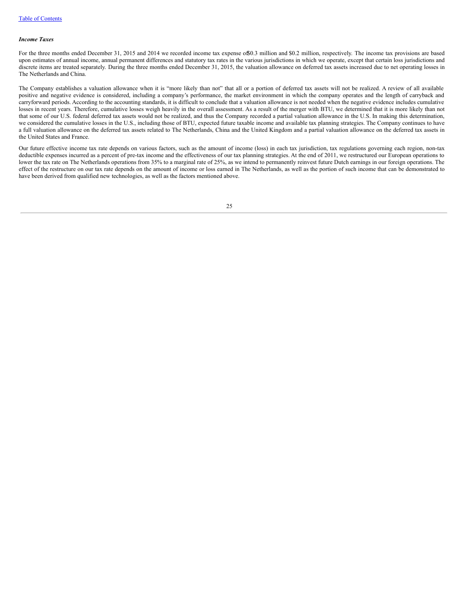#### *Income Taxes*

For the three months ended December 31, 2015 and 2014 we recorded income tax expense of\$0.3 million and \$0.2 million, respectively. The income tax provisions are based upon estimates of annual income, annual permanent differences and statutory tax rates in the various jurisdictions in which we operate, except that certain loss jurisdictions and discrete items are treated separately. During the three months ended December 31, 2015, the valuation allowance on deferred tax assets increased due to net operating losses in The Netherlands and China.

The Company establishes a valuation allowance when it is "more likely than not" that all or a portion of deferred tax assets will not be realized. A review of all available positive and negative evidence is considered, including a company's performance, the market environment in which the company operates and the length of carryback and carryforward periods. According to the accounting standards, it is difficult to conclude that a valuation allowance is not needed when the negative evidence includes cumulative losses in recent years. Therefore, cumulative losses weigh heavily in the overall assessment. As a result of the merger with BTU, we determined that it is more likely than not that some of our U.S. federal deferred tax assets would not be realized, and thus the Company recorded a partial valuation allowance in the U.S. In making this determination, we considered the cumulative losses in the U.S., including those of BTU, expected future taxable income and available tax planning strategies. The Company continues to have a full valuation allowance on the deferred tax assets related to The Netherlands, China and the United Kingdom and a partial valuation allowance on the deferred tax assets in the United States and France.

Our future effective income tax rate depends on various factors, such as the amount of income (loss) in each tax jurisdiction, tax regulations governing each region, non-tax deductible expenses incurred as a percent of pre-tax income and the effectiveness of our tax planning strategies. At the end of 2011, we restructured our European operations to lower the tax rate on The Netherlands operations from 35% to a marginal rate of 25%, as we intend to permanently reinvest future Dutch earnings in our foreign operations. The effect of the restructure on our tax rate depends on the amount of income or loss earned in The Netherlands, as well as the portion of such income that can be demonstrated to have been derived from qualified new technologies, as well as the factors mentioned above.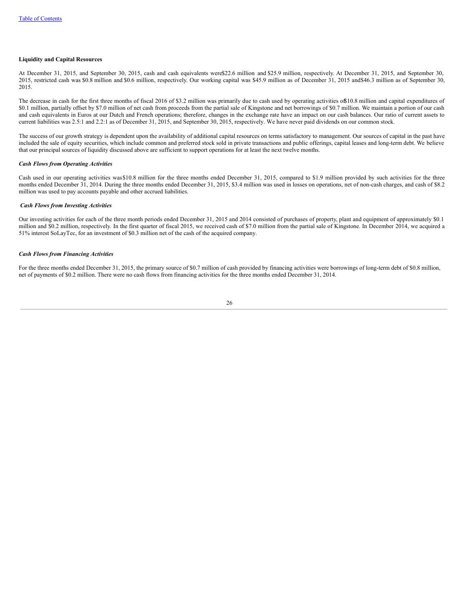## <span id="page-26-0"></span>**Liquidity and Capital Resources**

At December 31, 2015, and September 30, 2015, cash and cash equivalents were\$22.6 million and \$25.9 million, respectively. At December 31, 2015, and September 30, 2015, restricted cash was \$0.8 million and \$0.6 million, respectively. Our working capital was \$45.9 million as of December 31, 2015 and\$46.3 million as of September 30, 2015.

The decrease in cash for the first three months of fiscal 2016 of \$3.2 million was primarily due to cash used by operating activities of\$10.8 million and capital expenditures of \$0.1 million, partially offset by \$7.0 million of net cash from proceeds from the partial sale of Kingstone and net borrowings of \$0.7 million. We maintain a portion of our cash and cash equivalents in Euros at our Dutch and French operations; therefore, changes in the exchange rate have an impact on our cash balances. Our ratio of current assets to current liabilities was 2.5:1 and 2.2:1 as of December 31, 2015, and September 30, 2015, respectively. We have never paid dividends on our common stock.

The success of our growth strategy is dependent upon the availability of additional capital resources on terms satisfactory to management. Our sources of capital in the past have included the sale of equity securities, which include common and preferred stock sold in private transactions and public offerings, capital leases and long-term debt. We believe that our principal sources of liquidity discussed above are sufficient to support operations for at least the next twelve months.

#### *Cash Flows from Operating Activities*

Cash used in our operating activities was\$10.8 million for the three months ended December 31, 2015, compared to \$1.9 million provided by such activities for the three months ended December 31, 2014. During the three months ended December 31, 2015, \$3.4 million was used in losses on operations, net of non-cash charges, and cash of \$8.2 million was used to pay accounts payable and other accrued liabilities.

## *Cash Flows from Investing Activities*

Our investing activities for each of the three month periods ended December 31, 2015 and 2014 consisted of purchases of property, plant and equipment of approximately \$0.1 million and \$0.2 million, respectively. In the first quarter of fiscal 2015, we received cash of \$7.0 million from the partial sale of Kingstone. In December 2014, we acquired a 51% interest SoLayTec, for an investment of \$0.3 million net of the cash of the acquired company.

## *Cash Flows from Financing Activities*

For the three months ended December 31, 2015, the primary source of \$0.7 million of cash provided by financing activities were borrowings of long-term debt of \$0.8 million, net of payments of \$0.2 million. There were no cash flows from financing activities for the three months ended December 31, 2014.

| ł |             |
|---|-------------|
| I | ٠           |
|   | I<br>×<br>٧ |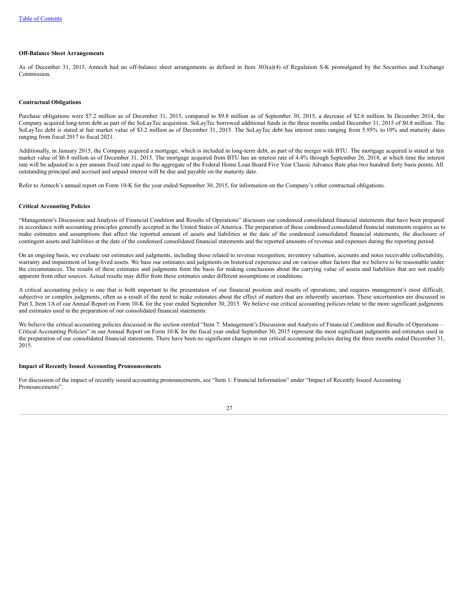#### <span id="page-27-0"></span>**Off-Balance Sheet Arrangements**

As of December 31, 2015, Amtech had no off-balance sheet arrangements as defined in Item 303(a)(4) of Regulation S-K promulgated by the Securities and Exchange Commission.

## <span id="page-27-1"></span>**Contractual Obligations**

Purchase obligations were \$7.2 million as of December 31, 2015, compared to \$9.8 million as of September 30, 2015, a decrease of \$2.6 million. In December 2014, the Company acquired long-term debt as part of the SoLayTec acquistion. SoLayTec borrowed additional funds in the three months ended December 31, 2015 of \$0.8 million. The SoLayTec debt is stated at fair market value of \$3.2 million as of December 31, 2015. The SoLayTec debt has interest rates ranging from 5.95% to 10% and maturity dates ranging from fiscal 2017 to fiscal 2021.

Additionally, in January 2015, the Company acquired a mortgage, which is included in long-term debt, as part of the merger with BTU. The mortgage acquired is stated at fair market value of \$6.8 million as of December 31, 2015. The mortgage acquired from BTU has an interest rate of 4.4% through September 26, 2018, at which time the interest rate will be adjusted to a per annum fixed rate equal to the aggregate of the Federal Home Loan Board Five Year Classic Advance Rate plus two hundred forty basis points. All outstanding principal and accrued and unpaid interest will be due and payable on the maturity date.

<span id="page-27-2"></span>Refer to Amtech's annual report on Form 10-K for the year ended September 30, 2015, for information on the Company's other contractual obligations.

#### **Critical Accounting Policies**

"Management's Discussion and Analysis of Financial Condition and Results of Operations" discusses our condensed consolidated financial statements that have been prepared in accordance with accounting principles generally accepted in the United States of America. The preparation of these condensed consolidated financial statements requires us to make estimates and assumptions that affect the reported amount of assets and liabilities at the date of the condensed consolidated financial statements, the disclosure of contingent assets and liabilities at the date of the condensed consolidated financial statements and the reported amounts of revenue and expenses during the reporting period.

On an ongoing basis, we evaluate our estimates and judgments, including those related to revenue recognition, inventory valuation, accounts and notes receivable collectability, warranty and impairment of long-lived assets. We base our estimates and judgments on historical experience and on various other factors that we believe to be reasonable under the circumstances. The results of these estimates and judgments form the basis for making conclusions about the carrying value of assets and liabilities that are not readily apparent from other sources. Actual results may differ from these estimates under different assumptions or conditions.

A critical accounting policy is one that is both important to the presentation of our financial position and results of operations, and requires management's most difficult, subjective or complex judgments, often as a result of the need to make estimates about the effect of matters that are inherently uncertain. These uncertainties are discussed in Part I, Item 1A of our Annual Report on Form 10-K for the year ended September 30, 2015. We believe our critical accounting policies relate to the more significant judgments and estimates used in the preparation of our consolidated financial statements.

We believe the critical accounting policies discussed in the section entitled "Item 7: Management's Discussion and Analysis of Financial Condition and Results of Operations -Critical Accounting Policies" in our Annual Report on Form 10-K for the fiscal year ended September 30, 2015 represent the most significant judgments and estimates used in the preparation of our consolidated financial statements. There have been no significant changes in our critical accounting policies during the three months ended December 31, 2015.

## <span id="page-27-3"></span>**Impact of Recently Issued Accounting Pronouncements**

For discussion of the impact of recently issued accounting pronouncements, see "Item 1: Financial Information" under "Impact of Recently Issued Accounting Pronouncements".

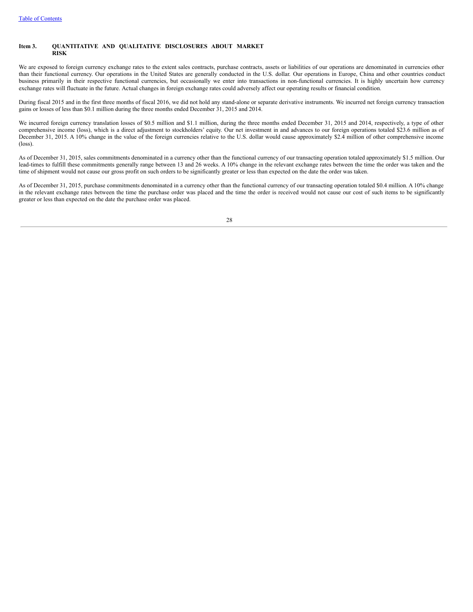#### <span id="page-28-0"></span>**Item 3. QUANTITATIVE AND QUALITATIVE DISCLOSURES ABOUT MARKET RISK**

We are exposed to foreign currency exchange rates to the extent sales contracts, purchase contracts, assets or liabilities of our operations are denominated in currencies other than their functional currency. Our operations in the United States are generally conducted in the U.S. dollar. Our operations in Europe, China and other countries conduct business primarily in their respective functional currencies, but occasionally we enter into transactions in non-functional currencies. It is highly uncertain how currency exchange rates will fluctuate in the future. Actual changes in foreign exchange rates could adversely affect our operating results or financial condition.

During fiscal 2015 and in the first three months of fiscal 2016, we did not hold any stand-alone or separate derivative instruments. We incurred net foreign currency transaction gains or losses of less than \$0.1 million during the three months ended December 31, 2015 and 2014.

We incurred foreign currency translation losses of \$0.5 million and \$1.1 million, during the three months ended December 31, 2015 and 2014, respectively, a type of other comprehensive income (loss), which is a direct adjustment to stockholders' equity. Our net investment in and advances to our foreign operations totaled \$23.6 million as of December 31, 2015. A 10% change in the value of the foreign currencies relative to the U.S. dollar would cause approximately \$2.4 million of other comprehensive income (loss).

As of December 31, 2015, sales commitments denominated in a currency other than the functional currency of our transacting operation totaled approximately \$1.5 million. Our lead-times to fulfill these commitments generally range between 13 and 26 weeks. A 10% change in the relevant exchange rates between the time the order was taken and the time of shipment would not cause our gross profit on such orders to be significantly greater or less than expected on the date the order was taken.

As of December 31, 2015, purchase commitments denominated in a currency other than the functional currency of our transacting operation totaled \$0.4 million. A 10% change in the relevant exchange rates between the time the purchase order was placed and the time the order is received would not cause our cost of such items to be significantly greater or less than expected on the date the purchase order was placed.

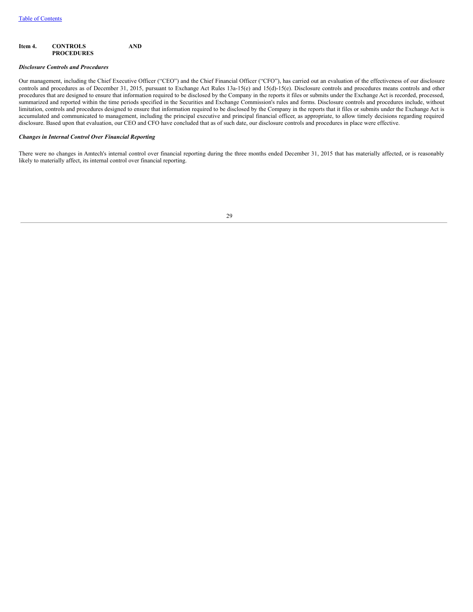#### <span id="page-29-0"></span>**Item 4. CONTROLS AND PROCEDURES**

## *Disclosure Controls and Procedures*

Our management, including the Chief Executive Officer ("CEO") and the Chief Financial Officer ("CFO"), has carried out an evaluation of the effectiveness of our disclosure controls and procedures as of December 31, 2015, pursuant to Exchange Act Rules 13a-15(e) and 15(d)-15(e). Disclosure controls and procedures means controls and other procedures that are designed to ensure that information required to be disclosed by the Company in the reports it files or submits under the Exchange Act is recorded, processed, summarized and reported within the time periods specified in the Securities and Exchange Commission's rules and forms. Disclosure controls and procedures include, without limitation, controls and procedures designed to ensure that information required to be disclosed by the Company in the reports that it files or submits under the Exchange Act is accumulated and communicated to management, including the principal executive and principal financial officer, as appropriate, to allow timely decisions regarding required disclosure. Based upon that evaluation, our CEO and CFO have concluded that as of such date, our disclosure controls and procedures in place were effective.

## *Changes in Internal Control Over Financial Reporting*

There were no changes in Amtech's internal control over financial reporting during the three months ended December 31, 2015 that has materially affected, or is reasonably likely to materially affect, its internal control over financial reporting.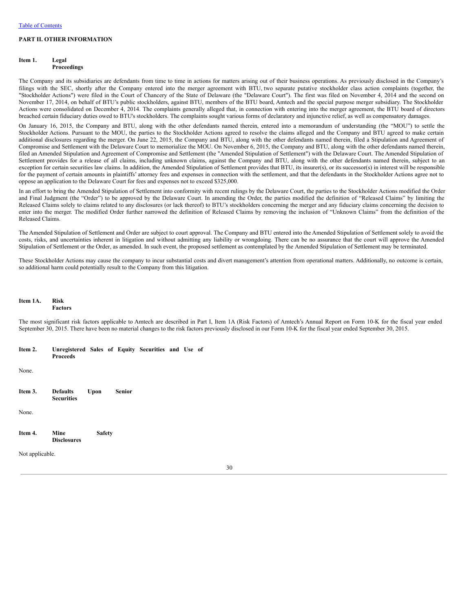## <span id="page-30-0"></span>**PART II. OTHER INFORMATION**

## <span id="page-30-1"></span>**Item 1. Legal Proceedings**

The Company and its subsidiaries are defendants from time to time in actions for matters arising out of their business operations. As previously disclosed in the Company's filings with the SEC, shortly after the Company entered into the merger agreement with BTU, two separate putative stockholder class action complaints (together, the "Stockholder Actions") were filed in the Court of Chancery of the State of Delaware (the "Delaware Court"). The first was filed on November 4, 2014 and the second on November 17, 2014, on behalf of BTU's public stockholders, against BTU, members of the BTU board, Amtech and the special purpose merger subsidiary. The Stockholder Actions were consolidated on December 4, 2014. The complaints generally alleged that, in connection with entering into the merger agreement, the BTU board of directors breached certain fiduciary duties owed to BTU's stockholders. The complaints sought various forms of declaratory and injunctive relief, as well as compensatory damages.

On January 16, 2015, the Company and BTU, along with the other defendants named therein, entered into a memorandum of understanding (the "MOU") to settle the Stockholder Actions. Pursuant to the MOU, the parties to the Stockholder Actions agreed to resolve the claims alleged and the Company and BTU agreed to make certain additional disclosures regarding the merger. On June 22, 2015, the Company and BTU, along with the other defendants named therein, filed a Stipulation and Agreement of Compromise and Settlement with the Delaware Court to memorialize the MOU. On November 6, 2015, the Company and BTU, along with the other defendants named therein, filed an Amended Stipulation and Agreement of Compromise and Settlement (the "Amended Stipulation of Settlement") with the Delaware Court. The Amended Stipulation of Settlement provides for a release of all claims, including unknown claims, against the Company and BTU, along with the other defendants named therein, subject to an exception for certain securities law claims. In addition, the Amended Stipulation of Settlement provides that BTU, its insurer(s), or its successor(s) in interest will be responsible for the payment of certain amounts in plaintiffs' attorney fees and expenses in connection with the settlement, and that the defendants in the Stockholder Actions agree not to oppose an application to the Delaware Court for fees and expenses not to exceed \$325,000.

In an effort to bring the Amended Stipulation of Settlement into conformity with recent rulings by the Delaware Court, the parties to the Stockholder Actions modified the Order and Final Judgment (the "Order") to be approved by the Delaware Court. In amending the Order, the parties modified the definition of "Released Claims" by limiting the Released Claims solely to claims related to any disclosures (or lack thereof) to BTU's stockholders concerning the merger and any fiduciary claims concerning the decision to enter into the merger. The modified Order further narrowed the definition of Released Claims by removing the inclusion of "Unknown Claims" from the definition of the Released Claims.

The Amended Stipulation of Settlement and Order are subject to court approval. The Company and BTU entered into the Amended Stipulation of Settlement solely to avoid the costs, risks, and uncertainties inherent in litigation and without admitting any liability or wrongdoing. There can be no assurance that the court will approve the Amended Stipulation of Settlement or the Order, as amended. In such event, the proposed settlement as contemplated by the Amended Stipulation of Settlement may be terminated.

These Stockholder Actions may cause the company to incur substantial costs and divert management's attention from operational matters. Additionally, no outcome is certain, so additional harm could potentially result to the Company from this litigation.

#### <span id="page-30-2"></span>**Item 1A. Risk Factors**

The most significant risk factors applicable to Amtech are described in Part I, Item 1A (Risk Factors) of Amtech's Annual Report on Form 10-K for the fiscal year ended September 30, 2015. There have been no material changes to the risk factors previously disclosed in our Form 10-K for the fiscal year ended September 30, 2015.

<span id="page-30-5"></span><span id="page-30-4"></span><span id="page-30-3"></span>

| Item 2.         | Unregistered Sales of Equity Securities and Use of<br><b>Proceeds</b> |               |               |  |  |
|-----------------|-----------------------------------------------------------------------|---------------|---------------|--|--|
| None.           |                                                                       |               |               |  |  |
| Item 3.         | <b>Defaults</b><br><b>Securities</b>                                  | Upon          | <b>Senior</b> |  |  |
| None.           |                                                                       |               |               |  |  |
| Item 4.         | Mine<br><b>Disclosures</b>                                            | <b>Safety</b> |               |  |  |
| Not applicable. |                                                                       |               |               |  |  |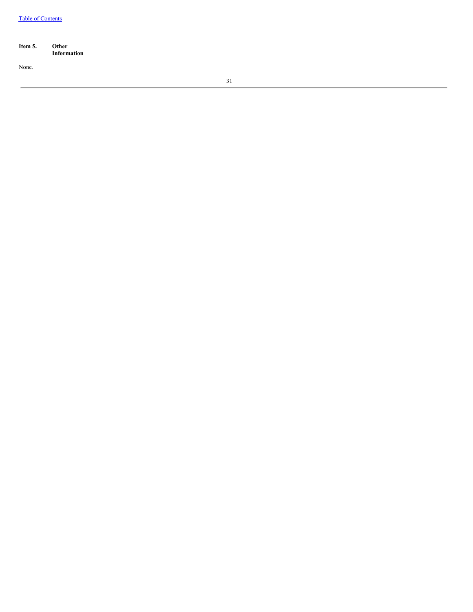<span id="page-31-0"></span>

| Item 5. | <b>Other</b>       |
|---------|--------------------|
|         | <b>Information</b> |

None.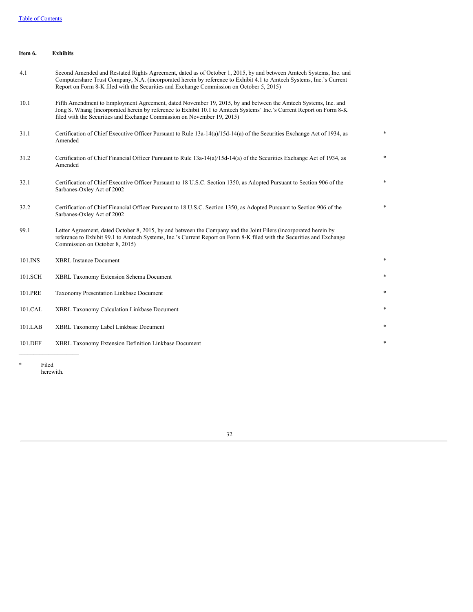<span id="page-32-0"></span>

| Item 6.    | <b>Exhibits</b>                                                                                                                                                                                                                                                                                                                        |        |
|------------|----------------------------------------------------------------------------------------------------------------------------------------------------------------------------------------------------------------------------------------------------------------------------------------------------------------------------------------|--------|
| 4.1        | Second Amended and Restated Rights Agreement, dated as of October 1, 2015, by and between Amtech Systems, Inc. and<br>Computershare Trust Company, N.A. (incorporated herein by reference to Exhibit 4.1 to Amtech Systems, Inc.'s Current<br>Report on Form 8-K filed with the Securities and Exchange Commission on October 5, 2015) |        |
| 10.1       | Fifth Amendment to Employment Agreement, dated November 19, 2015, by and between the Amtech Systems, Inc. and<br>Jong S. Whang (incorporated herein by reference to Exhibit 10.1 to Amtech Systems' Inc.'s Current Report on Form 8-K<br>filed with the Securities and Exchange Commission on November 19, 2015)                       |        |
| 31.1       | Certification of Chief Executive Officer Pursuant to Rule 13a-14(a)/15d-14(a) of the Securities Exchange Act of 1934, as<br>Amended                                                                                                                                                                                                    | $\ast$ |
| 31.2       | Certification of Chief Financial Officer Pursuant to Rule $13a-14(a)/15d-14(a)$ of the Securities Exchange Act of 1934, as<br>Amended                                                                                                                                                                                                  | $\ast$ |
| 32.1       | Certification of Chief Executive Officer Pursuant to 18 U.S.C. Section 1350, as Adopted Pursuant to Section 906 of the<br>Sarbanes-Oxley Act of 2002                                                                                                                                                                                   | $\ast$ |
| 32.2       | Certification of Chief Financial Officer Pursuant to 18 U.S.C. Section 1350, as Adopted Pursuant to Section 906 of the<br>Sarbanes-Oxley Act of 2002                                                                                                                                                                                   | $\ast$ |
| 99.1       | Letter Agreement, dated October 8, 2015, by and between the Company and the Joint Filers (incorporated herein by<br>reference to Exhibit 99.1 to Amtech Systems, Inc.'s Current Report on Form 8-K filed with the Securities and Exchange<br>Commission on October 8, 2015)                                                            |        |
| 101.INS    | <b>XBRL Instance Document</b>                                                                                                                                                                                                                                                                                                          | $\ast$ |
| 101.SCH    | XBRL Taxonomy Extension Schema Document                                                                                                                                                                                                                                                                                                |        |
| 101.PRE    | Taxonomy Presentation Linkbase Document                                                                                                                                                                                                                                                                                                | *      |
| 101.CAL    | XBRL Taxonomy Calculation Linkbase Document                                                                                                                                                                                                                                                                                            | $\ast$ |
| 101.LAB    | XBRL Taxonomy Label Linkbase Document                                                                                                                                                                                                                                                                                                  | $\ast$ |
| 101.DEF    | XBRL Taxonomy Extension Definition Linkbase Document                                                                                                                                                                                                                                                                                   | *      |
| *<br>Filed |                                                                                                                                                                                                                                                                                                                                        |        |

herewith.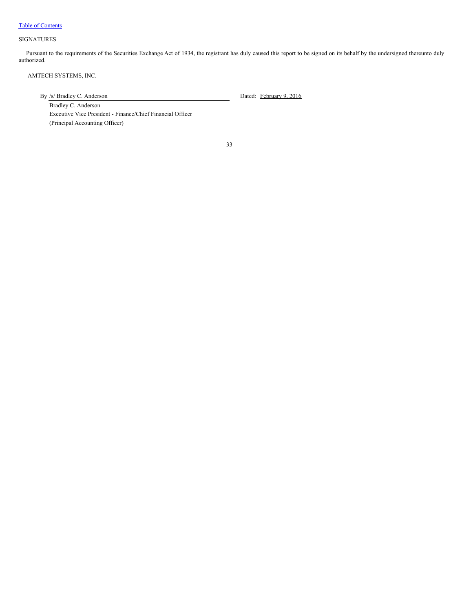## <span id="page-33-0"></span>SIGNATURES

Pursuant to the requirements of the Securities Exchange Act of 1934, the registrant has duly caused this report to be signed on its behalf by the undersigned thereunto duly authorized.

AMTECH SYSTEMS, INC.

By /s/ Bradley C. Anderson Dated: February 9, 2016

Bradley C. Anderson Executive Vice President - Finance/Chief Financial Officer (Principal Accounting Officer)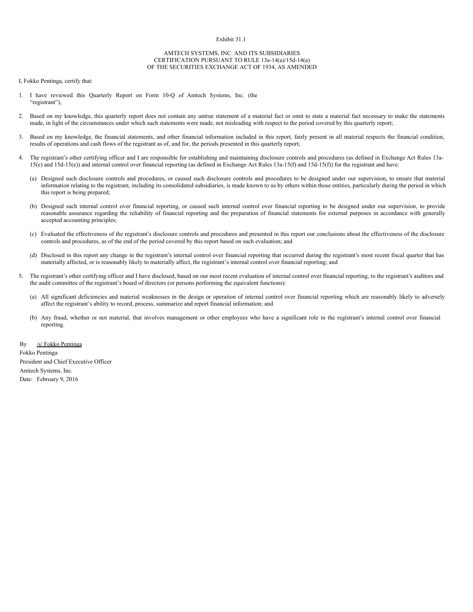## Exhibit 31.1

### AMTECH SYSTEMS, INC. AND ITS SUBSIDIARIES CERTIFICATION PURSUANT TO RULE 13a-14(a)/15d-14(a) OF THE SECURITIES EXCHANGE ACT OF 1934, AS AMENDED

I, Fokko Pentinga, certify that:

- 1. I have reviewed this Quarterly Report on Form 10-Q of Amtech Systems, Inc. (the "registrant"),
- Based on my knowledge, this quarterly report does not contain any untrue statement of a material fact or omit to state a material fact necessary to make the statements made, in light of the circumstances under which such statements were made, not misleading with respect to the period covered by this quarterly report;
- 3. Based on my knowledge, the financial statements, and other financial information included in this report, fairly present in all material respects the financial condition, results of operations and cash flows of the registrant as of, and for, the periods presented in this quarterly report;
- 4. The registrant's other certifying officer and I are responsible for establishing and maintaining disclosure controls and procedures (as defined in Exchange Act Rules 13a-15(e) and 15d-15(e)) and internal control over financial reporting (as defined in Exchange Act Rules 13a-15(f) and 15d-15(f)) for the registrant and have:
	- (a) Designed such disclosure controls and procedures, or caused such disclosure controls and procedures to be designed under our supervision, to ensure that material information relating to the registrant, including its consolidated subsidiaries, is made known to us by others within those entities, particularly during the period in which this report is being prepared;
	- (b) Designed such internal control over financial reporting, or caused such internal control over financial reporting to be designed under our supervision, to provide reasonable assurance regarding the reliability of financial reporting and the preparation of financial statements for external purposes in accordance with generally accepted accounting principles;
	- (c) Evaluated the effectiveness of the registrant's disclosure controls and procedures and presented in this report our conclusions about the effectiveness of the disclosure controls and procedures, as of the end of the period covered by this report based on such evaluation; and
	- (d) Disclosed in this report any change in the registrant's internal control over financial reporting that occurred during the registrant's most recent fiscal quarter that has materially affected, or is reasonably likely to materially affect, the registrant's internal control over financial reporting; and
- 5. The registrant's other certifying officer and I have disclosed, based on our most recent evaluation of internal control over financial reporting, to the registrant's auditors and the audit committee of the registrant's board of directors (or persons performing the equivalent functions):
	- (a) All significant deficiencies and material weaknesses in the design or operation of internal control over financial reporting which are reasonably likely to adversely affect the registrant's ability to record, process, summarize and report financial information; and
	- (b) Any fraud, whether or not material, that involves management or other employees who have a significant role in the registrant's internal control over financial reporting.

By /s/ Fokko Pentinga Fokko Pentinga President and Chief Executive Officer Amtech Systems, Inc. Date: February 9, 2016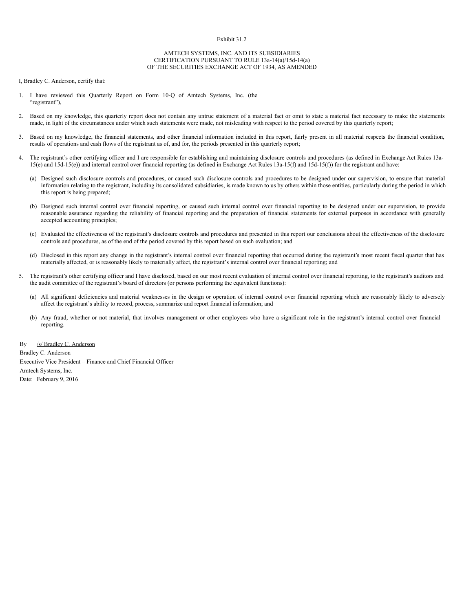## Exhibit 31.2

### AMTECH SYSTEMS, INC. AND ITS SUBSIDIARIES CERTIFICATION PURSUANT TO RULE 13a-14(a)/15d-14(a) OF THE SECURITIES EXCHANGE ACT OF 1934, AS AMENDED

I, Bradley C. Anderson, certify that:

- 1. I have reviewed this Quarterly Report on Form 10-Q of Amtech Systems, Inc. (the "registrant"),
- Based on my knowledge, this quarterly report does not contain any untrue statement of a material fact or omit to state a material fact necessary to make the statements made, in light of the circumstances under which such statements were made, not misleading with respect to the period covered by this quarterly report;
- 3. Based on my knowledge, the financial statements, and other financial information included in this report, fairly present in all material respects the financial condition, results of operations and cash flows of the registrant as of, and for, the periods presented in this quarterly report;
- 4. The registrant's other certifying officer and I are responsible for establishing and maintaining disclosure controls and procedures (as defined in Exchange Act Rules 13a-15(e) and 15d-15(e)) and internal control over financial reporting (as defined in Exchange Act Rules 13a-15(f) and 15d-15(f)) for the registrant and have:
	- (a) Designed such disclosure controls and procedures, or caused such disclosure controls and procedures to be designed under our supervision, to ensure that material information relating to the registrant, including its consolidated subsidiaries, is made known to us by others within those entities, particularly during the period in which this report is being prepared;
	- (b) Designed such internal control over financial reporting, or caused such internal control over financial reporting to be designed under our supervision, to provide reasonable assurance regarding the reliability of financial reporting and the preparation of financial statements for external purposes in accordance with generally accepted accounting principles;
	- (c) Evaluated the effectiveness of the registrant's disclosure controls and procedures and presented in this report our conclusions about the effectiveness of the disclosure controls and procedures, as of the end of the period covered by this report based on such evaluation; and
	- (d) Disclosed in this report any change in the registrant's internal control over financial reporting that occurred during the registrant's most recent fiscal quarter that has materially affected, or is reasonably likely to materially affect, the registrant's internal control over financial reporting; and
- 5. The registrant's other certifying officer and I have disclosed, based on our most recent evaluation of internal control over financial reporting, to the registrant's auditors and the audit committee of the registrant's board of directors (or persons performing the equivalent functions):
	- (a) All significant deficiencies and material weaknesses in the design or operation of internal control over financial reporting which are reasonably likely to adversely affect the registrant's ability to record, process, summarize and report financial information; and
	- (b) Any fraud, whether or not material, that involves management or other employees who have a significant role in the registrant's internal control over financial reporting.

By /s/ Bradley C. Anderson Bradley C. Anderson Executive Vice President – Finance and Chief Financial Officer Amtech Systems, Inc. Date: February 9, 2016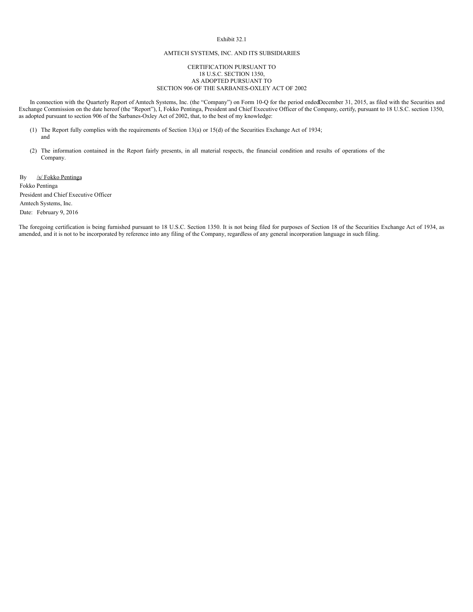## Exhibit 32.1

## AMTECH SYSTEMS, INC. AND ITS SUBSIDIARIES

## CERTIFICATION PURSUANT TO 18 U.S.C. SECTION 1350, AS ADOPTED PURSUANT TO SECTION 906 OF THE SARBANES-OXLEY ACT OF 2002

In connection with the Quarterly Report of Amtech Systems, Inc. (the "Company") on Form 10-Q for the period endedDecember 31, 2015, as filed with the Securities and Exchange Commission on the date hereof (the "Report"), I, Fokko Pentinga, President and Chief Executive Officer of the Company, certify, pursuant to 18 U.S.C. section 1350, as adopted pursuant to section 906 of the Sarbanes-Oxley Act of 2002, that, to the best of my knowledge:

- (1) The Report fully complies with the requirements of Section 13(a) or 15(d) of the Securities Exchange Act of 1934; and
- (2) The information contained in the Report fairly presents, in all material respects, the financial condition and results of operations of the Company.

By /s/ Fokko Pentinga Fokko Pentinga President and Chief Executive Officer Amtech Systems, Inc. Date: February 9, 2016

The foregoing certification is being furnished pursuant to 18 U.S.C. Section 1350. It is not being filed for purposes of Section 18 of the Securities Exchange Act of 1934, as amended, and it is not to be incorporated by reference into any filing of the Company, regardless of any general incorporation language in such filing.